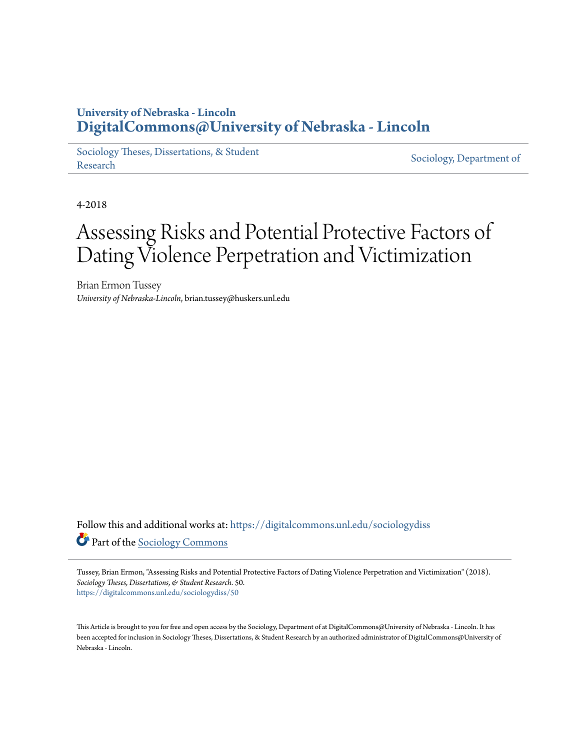## **University of Nebraska - Lincoln [DigitalCommons@University of Nebraska - Lincoln](https://digitalcommons.unl.edu?utm_source=digitalcommons.unl.edu%2Fsociologydiss%2F50&utm_medium=PDF&utm_campaign=PDFCoverPages)**

[Sociology Theses, Dissertations, & Student](https://digitalcommons.unl.edu/sociologydiss?utm_source=digitalcommons.unl.edu%2Fsociologydiss%2F50&utm_medium=PDF&utm_campaign=PDFCoverPages) [Research](https://digitalcommons.unl.edu/sociologydiss?utm_source=digitalcommons.unl.edu%2Fsociologydiss%2F50&utm_medium=PDF&utm_campaign=PDFCoverPages) Sociology, Dissertations, & Student [Sociology, Department of](https://digitalcommons.unl.edu/sociology?utm_source=digitalcommons.unl.edu%2Fsociologydiss%2F50&utm_medium=PDF&utm_campaign=PDFCoverPages)

4-2018

# Assessing Risks and Potential Protective Factors of Dating Violence Perpetration and Victimization

Brian Ermon Tussey *University of Nebraska-Lincoln*, brian.tussey@huskers.unl.edu

Follow this and additional works at: [https://digitalcommons.unl.edu/sociologydiss](https://digitalcommons.unl.edu/sociologydiss?utm_source=digitalcommons.unl.edu%2Fsociologydiss%2F50&utm_medium=PDF&utm_campaign=PDFCoverPages) Part of the [Sociology Commons](http://network.bepress.com/hgg/discipline/416?utm_source=digitalcommons.unl.edu%2Fsociologydiss%2F50&utm_medium=PDF&utm_campaign=PDFCoverPages)

Tussey, Brian Ermon, "Assessing Risks and Potential Protective Factors of Dating Violence Perpetration and Victimization" (2018). *Sociology Theses, Dissertations, & Student Research*. 50. [https://digitalcommons.unl.edu/sociologydiss/50](https://digitalcommons.unl.edu/sociologydiss/50?utm_source=digitalcommons.unl.edu%2Fsociologydiss%2F50&utm_medium=PDF&utm_campaign=PDFCoverPages)

This Article is brought to you for free and open access by the Sociology, Department of at DigitalCommons@University of Nebraska - Lincoln. It has been accepted for inclusion in Sociology Theses, Dissertations, & Student Research by an authorized administrator of DigitalCommons@University of Nebraska - Lincoln.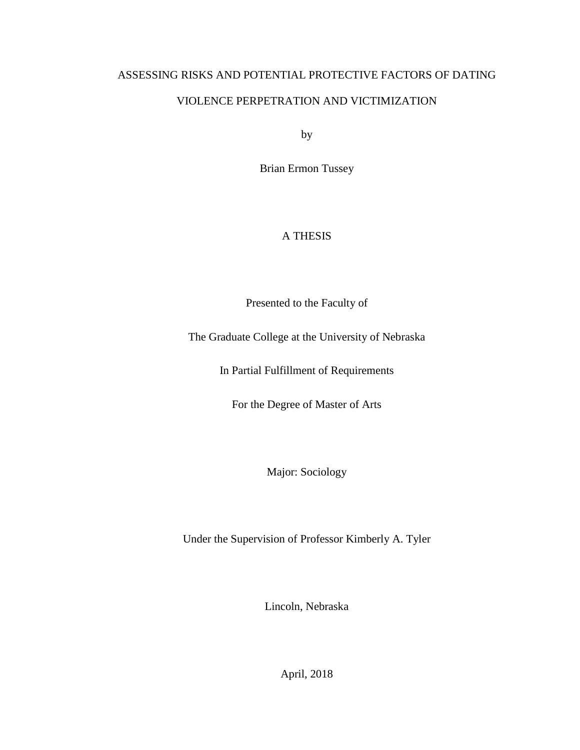## ASSESSING RISKS AND POTENTIAL PROTECTIVE FACTORS OF DATING VIOLENCE PERPETRATION AND VICTIMIZATION

by

Brian Ermon Tussey

## A THESIS

Presented to the Faculty of

The Graduate College at the University of Nebraska

In Partial Fulfillment of Requirements

For the Degree of Master of Arts

Major: Sociology

Under the Supervision of Professor Kimberly A. Tyler

Lincoln, Nebraska

April, 2018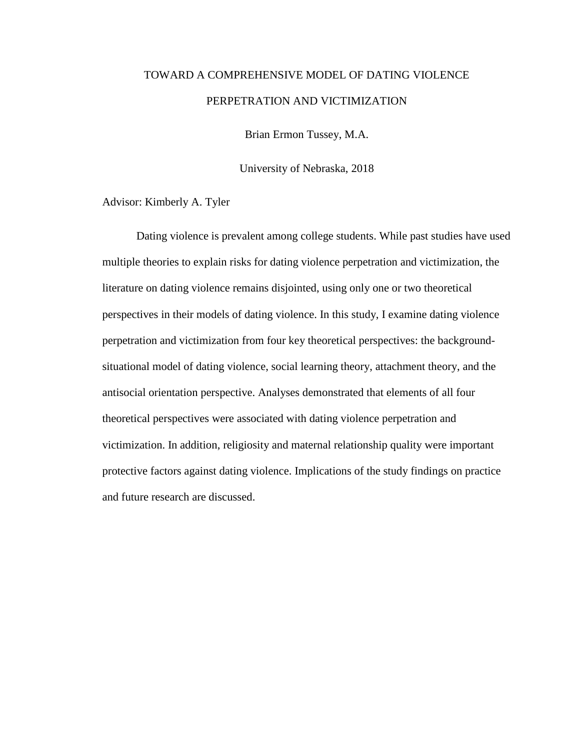## TOWARD A COMPREHENSIVE MODEL OF DATING VIOLENCE PERPETRATION AND VICTIMIZATION

Brian Ermon Tussey, M.A.

University of Nebraska, 2018

Advisor: Kimberly A. Tyler

Dating violence is prevalent among college students. While past studies have used multiple theories to explain risks for dating violence perpetration and victimization, the literature on dating violence remains disjointed, using only one or two theoretical perspectives in their models of dating violence. In this study, I examine dating violence perpetration and victimization from four key theoretical perspectives: the backgroundsituational model of dating violence, social learning theory, attachment theory, and the antisocial orientation perspective. Analyses demonstrated that elements of all four theoretical perspectives were associated with dating violence perpetration and victimization. In addition, religiosity and maternal relationship quality were important protective factors against dating violence. Implications of the study findings on practice and future research are discussed.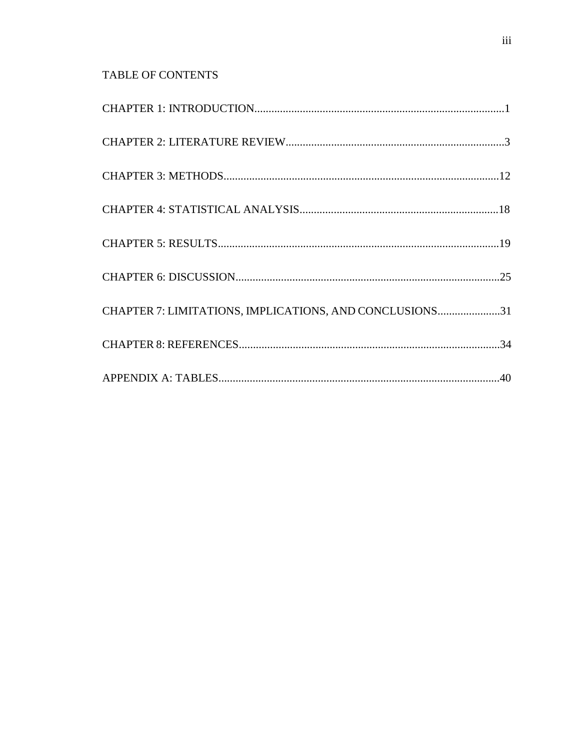## TABLE OF CONTENTS

| CHAPTER 7: LIMITATIONS, IMPLICATIONS, AND CONCLUSIONS31 |  |
|---------------------------------------------------------|--|
|                                                         |  |
|                                                         |  |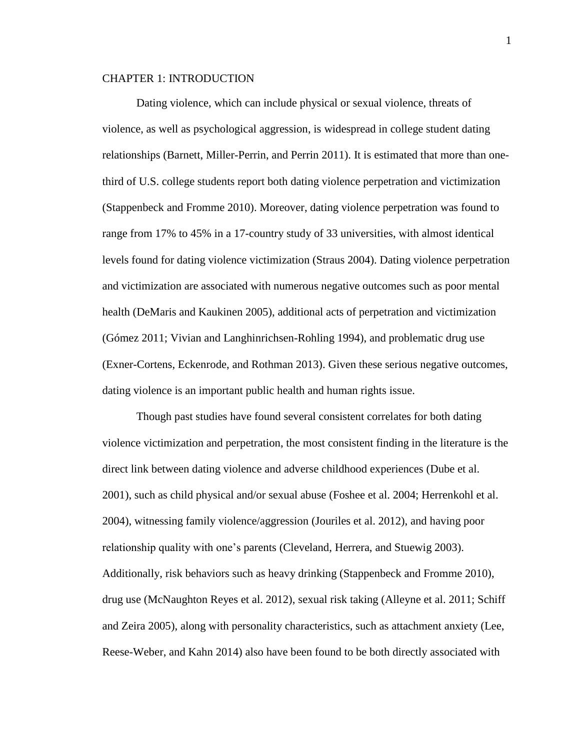#### <span id="page-4-0"></span>CHAPTER 1: INTRODUCTION

Dating violence, which can include physical or sexual violence, threats of violence, as well as psychological aggression, is widespread in college student dating relationships (Barnett, Miller-Perrin, and Perrin 2011). It is estimated that more than onethird of U.S. college students report both dating violence perpetration and victimization (Stappenbeck and Fromme 2010). Moreover, dating violence perpetration was found to range from 17% to 45% in a 17-country study of 33 universities, with almost identical levels found for dating violence victimization (Straus 2004). Dating violence perpetration and victimization are associated with numerous negative outcomes such as poor mental health (DeMaris and Kaukinen 2005), additional acts of perpetration and victimization (Gómez 2011; Vivian and Langhinrichsen-Rohling 1994), and problematic drug use (Exner-Cortens, Eckenrode, and Rothman 2013). Given these serious negative outcomes, dating violence is an important public health and human rights issue.

Though past studies have found several consistent correlates for both dating violence victimization and perpetration, the most consistent finding in the literature is the direct link between dating violence and adverse childhood experiences (Dube et al. 2001), such as child physical and/or sexual abuse (Foshee et al. 2004; Herrenkohl et al. 2004), witnessing family violence/aggression (Jouriles et al. 2012), and having poor relationship quality with one's parents (Cleveland, Herrera, and Stuewig 2003). Additionally, risk behaviors such as heavy drinking (Stappenbeck and Fromme 2010), drug use (McNaughton Reyes et al. 2012), sexual risk taking (Alleyne et al. 2011; Schiff and Zeira 2005), along with personality characteristics, such as attachment anxiety (Lee, Reese-Weber, and Kahn 2014) also have been found to be both directly associated with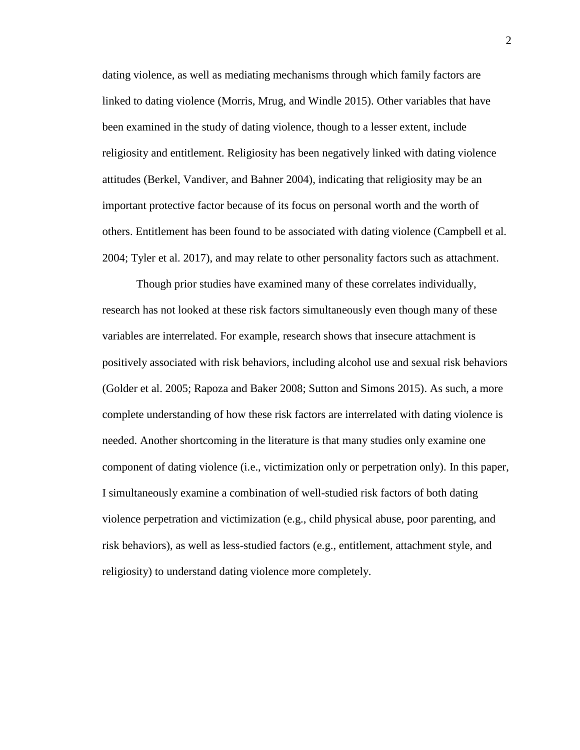dating violence, as well as mediating mechanisms through which family factors are linked to dating violence (Morris, Mrug, and Windle 2015). Other variables that have been examined in the study of dating violence, though to a lesser extent, include religiosity and entitlement. Religiosity has been negatively linked with dating violence attitudes (Berkel, Vandiver, and Bahner 2004), indicating that religiosity may be an important protective factor because of its focus on personal worth and the worth of others. Entitlement has been found to be associated with dating violence (Campbell et al. 2004; Tyler et al. 2017), and may relate to other personality factors such as attachment.

Though prior studies have examined many of these correlates individually, research has not looked at these risk factors simultaneously even though many of these variables are interrelated. For example, research shows that insecure attachment is positively associated with risk behaviors, including alcohol use and sexual risk behaviors (Golder et al. 2005; Rapoza and Baker 2008; Sutton and Simons 2015). As such, a more complete understanding of how these risk factors are interrelated with dating violence is needed. Another shortcoming in the literature is that many studies only examine one component of dating violence (i.e., victimization only or perpetration only). In this paper, I simultaneously examine a combination of well-studied risk factors of both dating violence perpetration and victimization (e.g., child physical abuse, poor parenting, and risk behaviors), as well as less-studied factors (e.g., entitlement, attachment style, and religiosity) to understand dating violence more completely.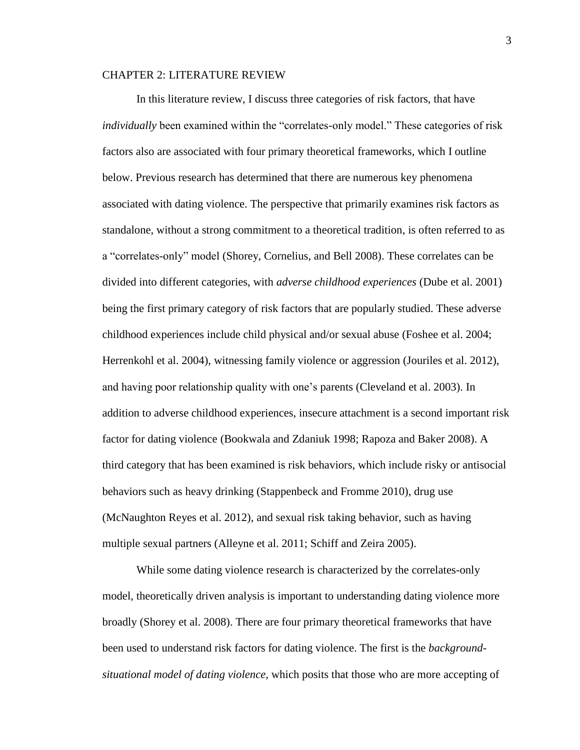#### <span id="page-6-0"></span>CHAPTER 2: LITERATURE REVIEW

In this literature review, I discuss three categories of risk factors, that have *individually* been examined within the "correlates-only model." These categories of risk factors also are associated with four primary theoretical frameworks, which I outline below. Previous research has determined that there are numerous key phenomena associated with dating violence. The perspective that primarily examines risk factors as standalone, without a strong commitment to a theoretical tradition, is often referred to as a "correlates-only" model (Shorey, Cornelius, and Bell 2008). These correlates can be divided into different categories, with *adverse childhood experiences* (Dube et al. 2001) being the first primary category of risk factors that are popularly studied. These adverse childhood experiences include child physical and/or sexual abuse (Foshee et al. 2004; Herrenkohl et al. 2004), witnessing family violence or aggression (Jouriles et al. 2012), and having poor relationship quality with one's parents (Cleveland et al. 2003). In addition to adverse childhood experiences, insecure attachment is a second important risk factor for dating violence (Bookwala and Zdaniuk 1998; Rapoza and Baker 2008). A third category that has been examined is risk behaviors, which include risky or antisocial behaviors such as heavy drinking (Stappenbeck and Fromme 2010), drug use (McNaughton Reyes et al. 2012), and sexual risk taking behavior, such as having multiple sexual partners (Alleyne et al. 2011; Schiff and Zeira 2005).

While some dating violence research is characterized by the correlates-only model, theoretically driven analysis is important to understanding dating violence more broadly (Shorey et al. 2008). There are four primary theoretical frameworks that have been used to understand risk factors for dating violence. The first is the *backgroundsituational model of dating violence,* which posits that those who are more accepting of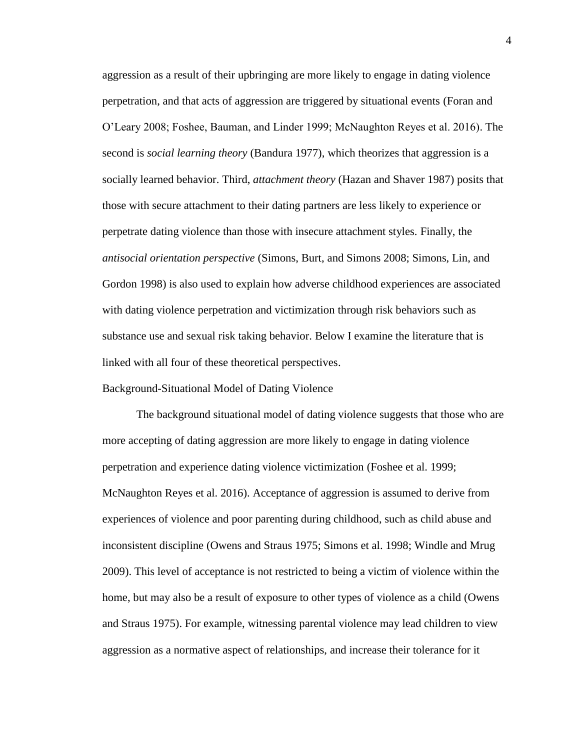aggression as a result of their upbringing are more likely to engage in dating violence perpetration, and that acts of aggression are triggered by situational events (Foran and O'Leary 2008; Foshee, Bauman, and Linder 1999; McNaughton Reyes et al. 2016). The second is *social learning theory* (Bandura 1977), which theorizes that aggression is a socially learned behavior. Third, *attachment theory* (Hazan and Shaver 1987) posits that those with secure attachment to their dating partners are less likely to experience or perpetrate dating violence than those with insecure attachment styles. Finally, the *antisocial orientation perspective* (Simons, Burt, and Simons 2008; Simons, Lin, and Gordon 1998) is also used to explain how adverse childhood experiences are associated with dating violence perpetration and victimization through risk behaviors such as substance use and sexual risk taking behavior. Below I examine the literature that is linked with all four of these theoretical perspectives.

Background-Situational Model of Dating Violence

The background situational model of dating violence suggests that those who are more accepting of dating aggression are more likely to engage in dating violence perpetration and experience dating violence victimization (Foshee et al. 1999; McNaughton Reyes et al. 2016). Acceptance of aggression is assumed to derive from experiences of violence and poor parenting during childhood, such as child abuse and inconsistent discipline (Owens and Straus 1975; Simons et al. 1998; Windle and Mrug 2009). This level of acceptance is not restricted to being a victim of violence within the home, but may also be a result of exposure to other types of violence as a child (Owens and Straus 1975). For example, witnessing parental violence may lead children to view aggression as a normative aspect of relationships, and increase their tolerance for it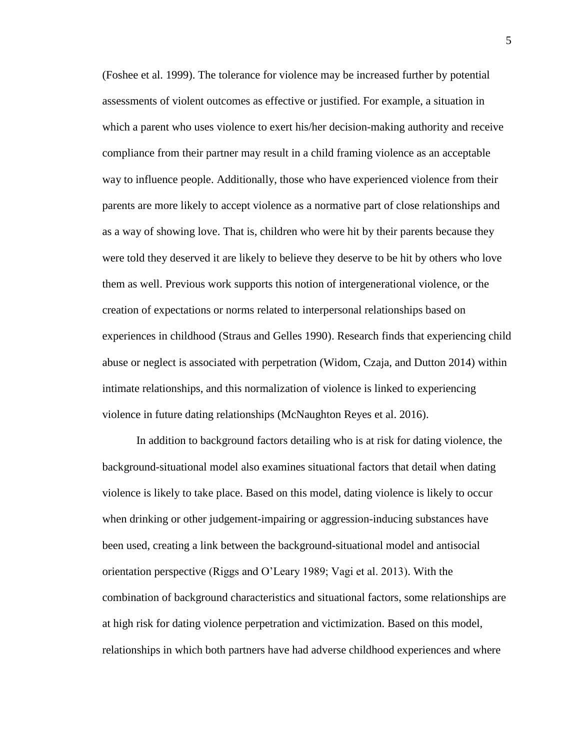(Foshee et al. 1999). The tolerance for violence may be increased further by potential assessments of violent outcomes as effective or justified. For example, a situation in which a parent who uses violence to exert his/her decision-making authority and receive compliance from their partner may result in a child framing violence as an acceptable way to influence people. Additionally, those who have experienced violence from their parents are more likely to accept violence as a normative part of close relationships and as a way of showing love. That is, children who were hit by their parents because they were told they deserved it are likely to believe they deserve to be hit by others who love them as well. Previous work supports this notion of intergenerational violence, or the creation of expectations or norms related to interpersonal relationships based on experiences in childhood (Straus and Gelles 1990). Research finds that experiencing child abuse or neglect is associated with perpetration (Widom, Czaja, and Dutton 2014) within intimate relationships, and this normalization of violence is linked to experiencing violence in future dating relationships (McNaughton Reyes et al. 2016).

In addition to background factors detailing who is at risk for dating violence, the background-situational model also examines situational factors that detail when dating violence is likely to take place. Based on this model, dating violence is likely to occur when drinking or other judgement-impairing or aggression-inducing substances have been used, creating a link between the background-situational model and antisocial orientation perspective (Riggs and O'Leary 1989; Vagi et al. 2013). With the combination of background characteristics and situational factors, some relationships are at high risk for dating violence perpetration and victimization. Based on this model, relationships in which both partners have had adverse childhood experiences and where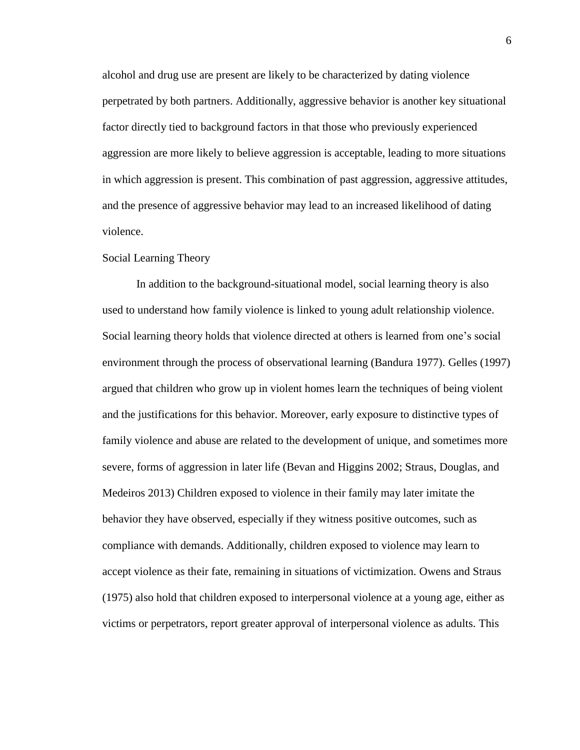alcohol and drug use are present are likely to be characterized by dating violence perpetrated by both partners. Additionally, aggressive behavior is another key situational factor directly tied to background factors in that those who previously experienced aggression are more likely to believe aggression is acceptable, leading to more situations in which aggression is present. This combination of past aggression, aggressive attitudes, and the presence of aggressive behavior may lead to an increased likelihood of dating violence.

#### Social Learning Theory

In addition to the background-situational model, social learning theory is also used to understand how family violence is linked to young adult relationship violence. Social learning theory holds that violence directed at others is learned from one's social environment through the process of observational learning (Bandura 1977). Gelles (1997) argued that children who grow up in violent homes learn the techniques of being violent and the justifications for this behavior. Moreover, early exposure to distinctive types of family violence and abuse are related to the development of unique, and sometimes more severe, forms of aggression in later life (Bevan and Higgins 2002; Straus, Douglas, and Medeiros 2013) Children exposed to violence in their family may later imitate the behavior they have observed, especially if they witness positive outcomes, such as compliance with demands. Additionally, children exposed to violence may learn to accept violence as their fate, remaining in situations of victimization. Owens and Straus (1975) also hold that children exposed to interpersonal violence at a young age, either as victims or perpetrators, report greater approval of interpersonal violence as adults. This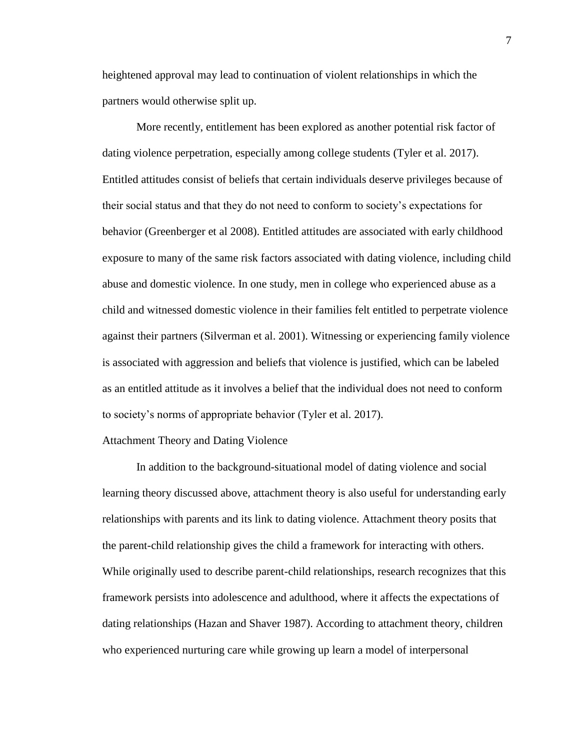heightened approval may lead to continuation of violent relationships in which the partners would otherwise split up.

More recently, entitlement has been explored as another potential risk factor of dating violence perpetration, especially among college students (Tyler et al. 2017). Entitled attitudes consist of beliefs that certain individuals deserve privileges because of their social status and that they do not need to conform to society's expectations for behavior (Greenberger et al 2008). Entitled attitudes are associated with early childhood exposure to many of the same risk factors associated with dating violence, including child abuse and domestic violence. In one study, men in college who experienced abuse as a child and witnessed domestic violence in their families felt entitled to perpetrate violence against their partners (Silverman et al. 2001). Witnessing or experiencing family violence is associated with aggression and beliefs that violence is justified, which can be labeled as an entitled attitude as it involves a belief that the individual does not need to conform to society's norms of appropriate behavior (Tyler et al. 2017).

#### Attachment Theory and Dating Violence

In addition to the background-situational model of dating violence and social learning theory discussed above, attachment theory is also useful for understanding early relationships with parents and its link to dating violence. Attachment theory posits that the parent-child relationship gives the child a framework for interacting with others. While originally used to describe parent-child relationships, research recognizes that this framework persists into adolescence and adulthood, where it affects the expectations of dating relationships (Hazan and Shaver 1987). According to attachment theory, children who experienced nurturing care while growing up learn a model of interpersonal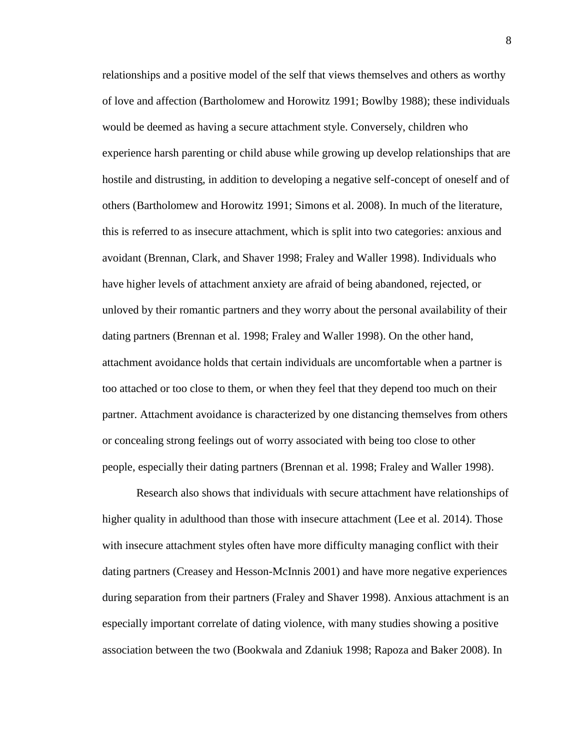relationships and a positive model of the self that views themselves and others as worthy of love and affection (Bartholomew and Horowitz 1991; Bowlby 1988); these individuals would be deemed as having a secure attachment style. Conversely, children who experience harsh parenting or child abuse while growing up develop relationships that are hostile and distrusting, in addition to developing a negative self-concept of oneself and of others (Bartholomew and Horowitz 1991; Simons et al. 2008). In much of the literature, this is referred to as insecure attachment, which is split into two categories: anxious and avoidant (Brennan, Clark, and Shaver 1998; Fraley and Waller 1998). Individuals who have higher levels of attachment anxiety are afraid of being abandoned, rejected, or unloved by their romantic partners and they worry about the personal availability of their dating partners (Brennan et al. 1998; Fraley and Waller 1998). On the other hand, attachment avoidance holds that certain individuals are uncomfortable when a partner is too attached or too close to them, or when they feel that they depend too much on their partner. Attachment avoidance is characterized by one distancing themselves from others or concealing strong feelings out of worry associated with being too close to other people, especially their dating partners (Brennan et al. 1998; Fraley and Waller 1998).

Research also shows that individuals with secure attachment have relationships of higher quality in adulthood than those with insecure attachment (Lee et al. 2014). Those with insecure attachment styles often have more difficulty managing conflict with their dating partners (Creasey and Hesson-McInnis 2001) and have more negative experiences during separation from their partners (Fraley and Shaver 1998). Anxious attachment is an especially important correlate of dating violence, with many studies showing a positive association between the two (Bookwala and Zdaniuk 1998; Rapoza and Baker 2008). In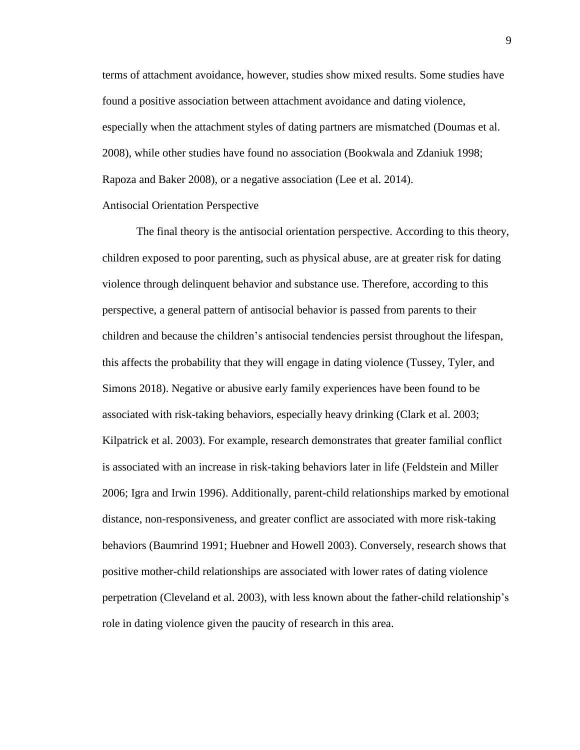terms of attachment avoidance, however, studies show mixed results. Some studies have found a positive association between attachment avoidance and dating violence, especially when the attachment styles of dating partners are mismatched (Doumas et al. 2008), while other studies have found no association (Bookwala and Zdaniuk 1998; Rapoza and Baker 2008), or a negative association (Lee et al. 2014).

#### Antisocial Orientation Perspective

The final theory is the antisocial orientation perspective. According to this theory, children exposed to poor parenting, such as physical abuse, are at greater risk for dating violence through delinquent behavior and substance use. Therefore, according to this perspective, a general pattern of antisocial behavior is passed from parents to their children and because the children's antisocial tendencies persist throughout the lifespan, this affects the probability that they will engage in dating violence (Tussey, Tyler, and Simons 2018). Negative or abusive early family experiences have been found to be associated with risk-taking behaviors, especially heavy drinking (Clark et al. 2003; Kilpatrick et al. 2003). For example, research demonstrates that greater familial conflict is associated with an increase in risk-taking behaviors later in life (Feldstein and Miller 2006; Igra and Irwin 1996). Additionally, parent-child relationships marked by emotional distance, non-responsiveness, and greater conflict are associated with more risk-taking behaviors (Baumrind 1991; Huebner and Howell 2003). Conversely, research shows that positive mother-child relationships are associated with lower rates of dating violence perpetration (Cleveland et al. 2003), with less known about the father-child relationship's role in dating violence given the paucity of research in this area.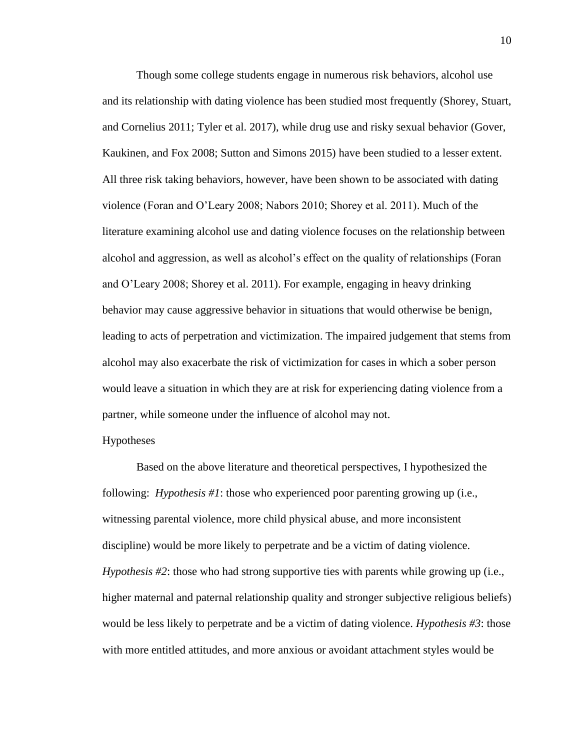Though some college students engage in numerous risk behaviors, alcohol use and its relationship with dating violence has been studied most frequently (Shorey, Stuart, and Cornelius 2011; Tyler et al. 2017), while drug use and risky sexual behavior (Gover, Kaukinen, and Fox 2008; Sutton and Simons 2015) have been studied to a lesser extent. All three risk taking behaviors, however, have been shown to be associated with dating violence (Foran and O'Leary 2008; Nabors 2010; Shorey et al. 2011). Much of the literature examining alcohol use and dating violence focuses on the relationship between alcohol and aggression, as well as alcohol's effect on the quality of relationships (Foran and O'Leary 2008; Shorey et al. 2011). For example, engaging in heavy drinking behavior may cause aggressive behavior in situations that would otherwise be benign, leading to acts of perpetration and victimization. The impaired judgement that stems from alcohol may also exacerbate the risk of victimization for cases in which a sober person would leave a situation in which they are at risk for experiencing dating violence from a partner, while someone under the influence of alcohol may not.

#### Hypotheses

Based on the above literature and theoretical perspectives, I hypothesized the following: *Hypothesis #1*: those who experienced poor parenting growing up (i.e., witnessing parental violence, more child physical abuse, and more inconsistent discipline) would be more likely to perpetrate and be a victim of dating violence. *Hypothesis #2*: those who had strong supportive ties with parents while growing up (i.e., higher maternal and paternal relationship quality and stronger subjective religious beliefs) would be less likely to perpetrate and be a victim of dating violence. *Hypothesis #3*: those with more entitled attitudes, and more anxious or avoidant attachment styles would be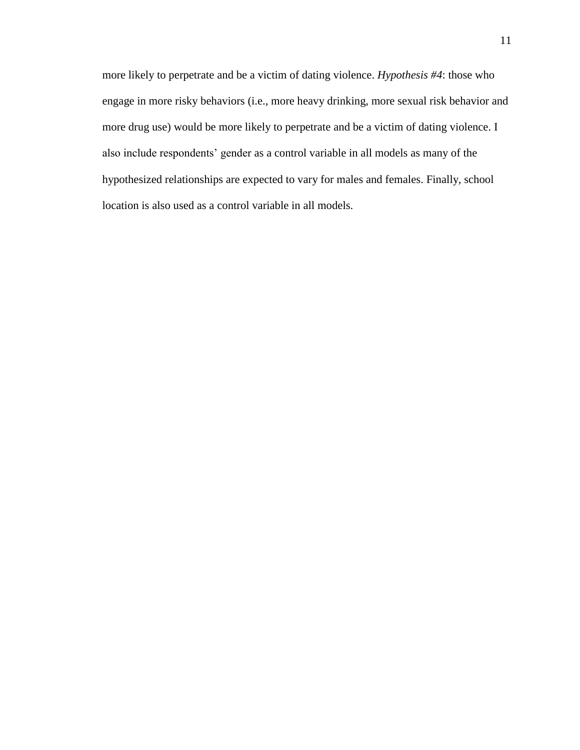more likely to perpetrate and be a victim of dating violence. *Hypothesis #4*: those who engage in more risky behaviors (i.e., more heavy drinking, more sexual risk behavior and more drug use) would be more likely to perpetrate and be a victim of dating violence. I also include respondents' gender as a control variable in all models as many of the hypothesized relationships are expected to vary for males and females. Finally, school location is also used as a control variable in all models.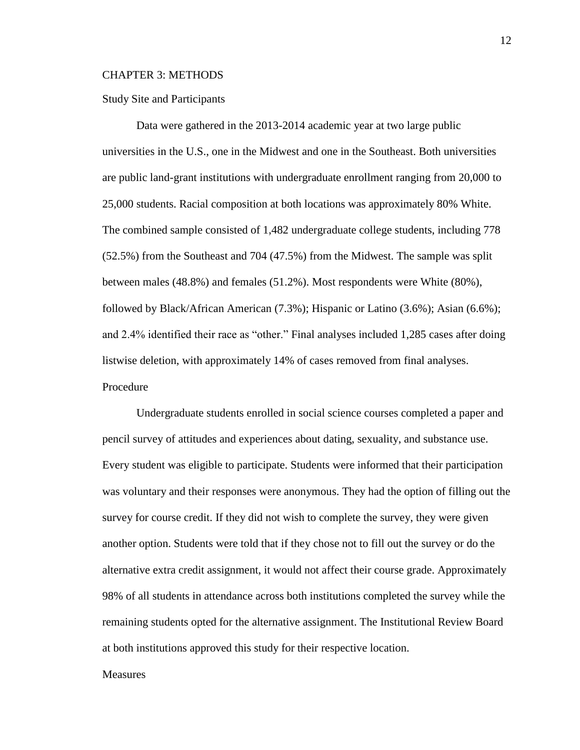#### <span id="page-15-0"></span>CHAPTER 3: METHODS

#### Study Site and Participants

Data were gathered in the 2013-2014 academic year at two large public universities in the U.S., one in the Midwest and one in the Southeast. Both universities are public land-grant institutions with undergraduate enrollment ranging from 20,000 to 25,000 students. Racial composition at both locations was approximately 80% White. The combined sample consisted of 1,482 undergraduate college students, including 778 (52.5%) from the Southeast and 704 (47.5%) from the Midwest. The sample was split between males (48.8%) and females (51.2%). Most respondents were White (80%), followed by Black/African American (7.3%); Hispanic or Latino (3.6%); Asian (6.6%); and 2.4% identified their race as "other." Final analyses included 1,285 cases after doing listwise deletion, with approximately 14% of cases removed from final analyses. Procedure

Undergraduate students enrolled in social science courses completed a paper and pencil survey of attitudes and experiences about dating, sexuality, and substance use. Every student was eligible to participate. Students were informed that their participation was voluntary and their responses were anonymous. They had the option of filling out the survey for course credit. If they did not wish to complete the survey, they were given another option. Students were told that if they chose not to fill out the survey or do the alternative extra credit assignment, it would not affect their course grade. Approximately 98% of all students in attendance across both institutions completed the survey while the remaining students opted for the alternative assignment. The Institutional Review Board at both institutions approved this study for their respective location.

#### **Measures**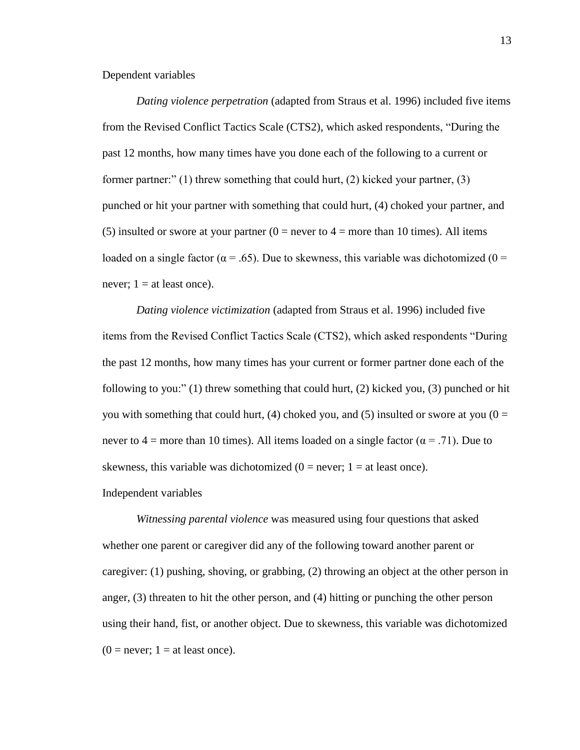Dependent variables

*Dating violence perpetration* (adapted from Straus et al. 1996) included five items from the Revised Conflict Tactics Scale (CTS2), which asked respondents, "During the past 12 months, how many times have you done each of the following to a current or former partner:" (1) threw something that could hurt, (2) kicked your partner, (3) punched or hit your partner with something that could hurt, (4) choked your partner, and (5) insulted or swore at your partner ( $0 =$  never to  $4 =$  more than 10 times). All items loaded on a single factor ( $\alpha = .65$ ). Due to skewness, this variable was dichotomized ( $0 =$ never;  $1 =$  at least once).

*Dating violence victimization* (adapted from Straus et al. 1996) included five items from the Revised Conflict Tactics Scale (CTS2), which asked respondents "During the past 12 months, how many times has your current or former partner done each of the following to you:" (1) threw something that could hurt, (2) kicked you, (3) punched or hit you with something that could hurt, (4) choked you, and (5) insulted or swore at you ( $0 =$ never to 4 = more than 10 times). All items loaded on a single factor ( $\alpha$  = .71). Due to skewness, this variable was dichotomized  $(0 =$  never;  $1 =$  at least once). Independent variables

*Witnessing parental violence* was measured using four questions that asked whether one parent or caregiver did any of the following toward another parent or caregiver: (1) pushing, shoving, or grabbing, (2) throwing an object at the other person in anger, (3) threaten to hit the other person, and (4) hitting or punching the other person using their hand, fist, or another object. Due to skewness, this variable was dichotomized  $(0 = never; 1 = at least once).$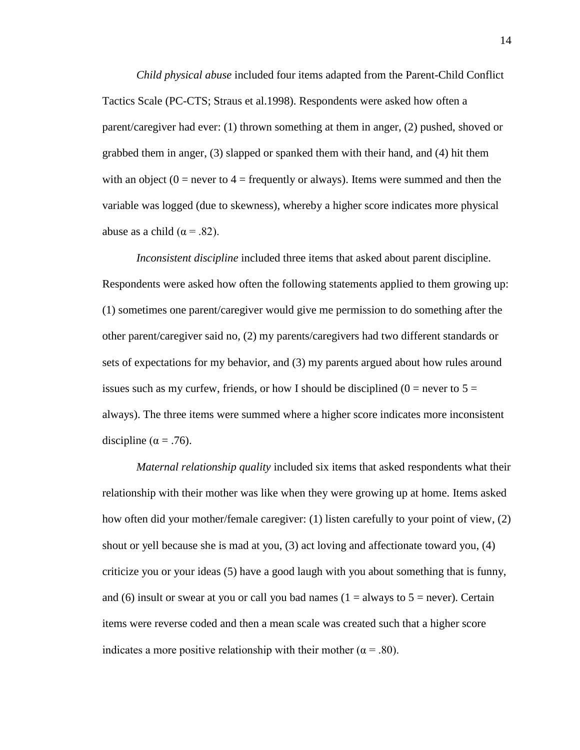*Child physical abuse* included four items adapted from the Parent-Child Conflict Tactics Scale (PC-CTS; Straus et al.1998). Respondents were asked how often a parent/caregiver had ever: (1) thrown something at them in anger, (2) pushed, shoved or grabbed them in anger, (3) slapped or spanked them with their hand, and (4) hit them with an object ( $0 =$  never to  $4 =$  frequently or always). Items were summed and then the variable was logged (due to skewness), whereby a higher score indicates more physical abuse as a child ( $\alpha$  = .82).

*Inconsistent discipline* included three items that asked about parent discipline. Respondents were asked how often the following statements applied to them growing up: (1) sometimes one parent/caregiver would give me permission to do something after the other parent/caregiver said no, (2) my parents/caregivers had two different standards or sets of expectations for my behavior, and (3) my parents argued about how rules around issues such as my curfew, friends, or how I should be disciplined ( $0 =$  never to  $5 =$ always). The three items were summed where a higher score indicates more inconsistent discipline ( $\alpha$  = .76).

*Maternal relationship quality* included six items that asked respondents what their relationship with their mother was like when they were growing up at home. Items asked how often did your mother/female caregiver: (1) listen carefully to your point of view, (2) shout or yell because she is mad at you, (3) act loving and affectionate toward you, (4) criticize you or your ideas (5) have a good laugh with you about something that is funny, and (6) insult or swear at you or call you bad names ( $1 =$  always to  $5 =$  never). Certain items were reverse coded and then a mean scale was created such that a higher score indicates a more positive relationship with their mother ( $\alpha$  = .80).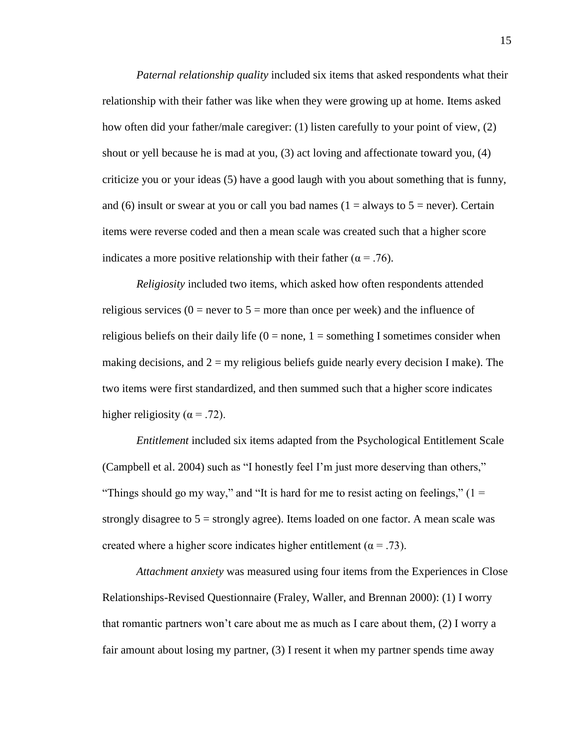*Paternal relationship quality* included six items that asked respondents what their relationship with their father was like when they were growing up at home. Items asked how often did your father/male caregiver: (1) listen carefully to your point of view, (2) shout or yell because he is mad at you, (3) act loving and affectionate toward you, (4) criticize you or your ideas (5) have a good laugh with you about something that is funny, and (6) insult or swear at you or call you bad names ( $1 =$  always to  $5 =$  never). Certain items were reverse coded and then a mean scale was created such that a higher score indicates a more positive relationship with their father ( $\alpha$  = .76).

*Religiosity* included two items, which asked how often respondents attended religious services  $(0 =$  never to  $5 =$  more than once per week) and the influence of religious beliefs on their daily life  $(0 = none, 1 = sometimes$  I sometimes consider when making decisions, and  $2 = \text{my religious beliefs guide nearly every decision I make}$ . The two items were first standardized, and then summed such that a higher score indicates higher religiosity ( $\alpha$  = .72).

*Entitlement* included six items adapted from the Psychological Entitlement Scale (Campbell et al. 2004) such as "I honestly feel I'm just more deserving than others," "Things should go my way," and "It is hard for me to resist acting on feelings,"  $(1 =$ strongly disagree to  $5 =$  strongly agree). Items loaded on one factor. A mean scale was created where a higher score indicates higher entitlement ( $\alpha = .73$ ).

*Attachment anxiety* was measured using four items from the Experiences in Close Relationships-Revised Questionnaire (Fraley, Waller, and Brennan 2000): (1) I worry that romantic partners won't care about me as much as I care about them, (2) I worry a fair amount about losing my partner, (3) I resent it when my partner spends time away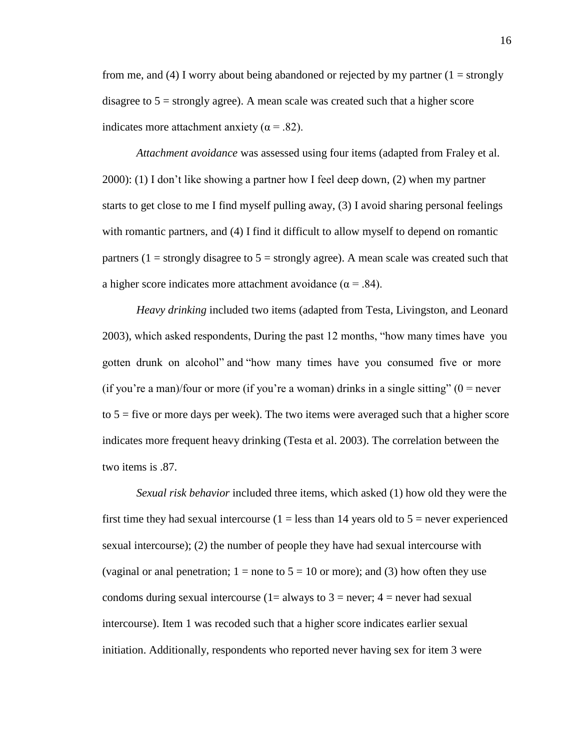from me, and (4) I worry about being abandoned or rejected by my partner (1 = strongly disagree to  $5 =$  strongly agree). A mean scale was created such that a higher score indicates more attachment anxiety ( $\alpha$  = .82).

*Attachment avoidance* was assessed using four items (adapted from Fraley et al. 2000): (1) I don't like showing a partner how I feel deep down, (2) when my partner starts to get close to me I find myself pulling away, (3) I avoid sharing personal feelings with romantic partners, and (4) I find it difficult to allow myself to depend on romantic partners  $(1 =$  strongly disagree to  $5 =$  strongly agree). A mean scale was created such that a higher score indicates more attachment avoidance ( $\alpha$  = .84).

*Heavy drinking* included two items (adapted from Testa, Livingston, and Leonard 2003), which asked respondents, During the past 12 months, "how many times have you gotten drunk on alcohol" and "how many times have you consumed five or more (if you're a man)/four or more (if you're a woman) drinks in a single sitting"  $(0 =$  never to 5 = five or more days per week). The two items were averaged such that a higher score indicates more frequent heavy drinking (Testa et al. 2003). The correlation between the two items is .87.

*Sexual risk behavior* included three items, which asked (1) how old they were the first time they had sexual intercourse  $(1 =$  less than 14 years old to  $5 =$  never experienced sexual intercourse); (2) the number of people they have had sexual intercourse with (vaginal or anal penetration;  $1 =$  none to  $5 = 10$  or more); and (3) how often they use condoms during sexual intercourse  $(1=$  always to  $3=$  never;  $4=$  never had sexual intercourse). Item 1 was recoded such that a higher score indicates earlier sexual initiation. Additionally, respondents who reported never having sex for item 3 were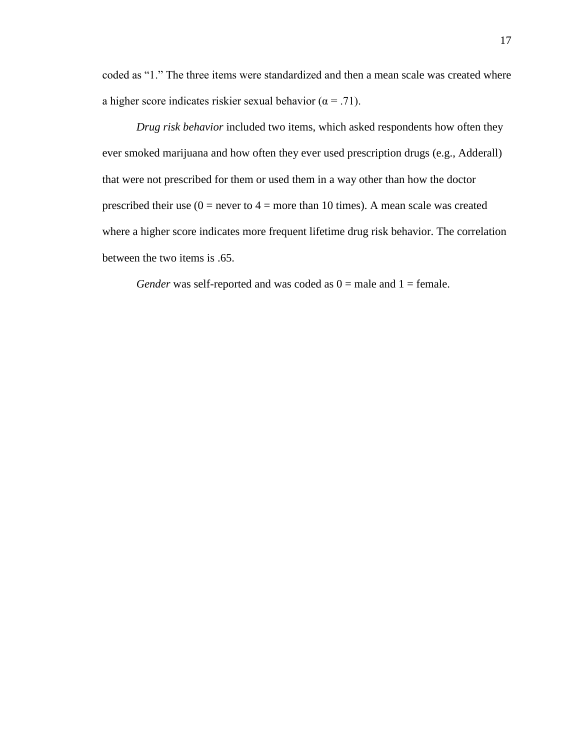coded as "1." The three items were standardized and then a mean scale was created where a higher score indicates riskier sexual behavior ( $\alpha$  = .71).

*Drug risk behavior* included two items, which asked respondents how often they ever smoked marijuana and how often they ever used prescription drugs (e.g., Adderall) that were not prescribed for them or used them in a way other than how the doctor prescribed their use  $(0 =$  never to  $4 =$  more than 10 times). A mean scale was created where a higher score indicates more frequent lifetime drug risk behavior. The correlation between the two items is .65.

*Gender* was self-reported and was coded as  $0 =$  male and  $1 =$  female.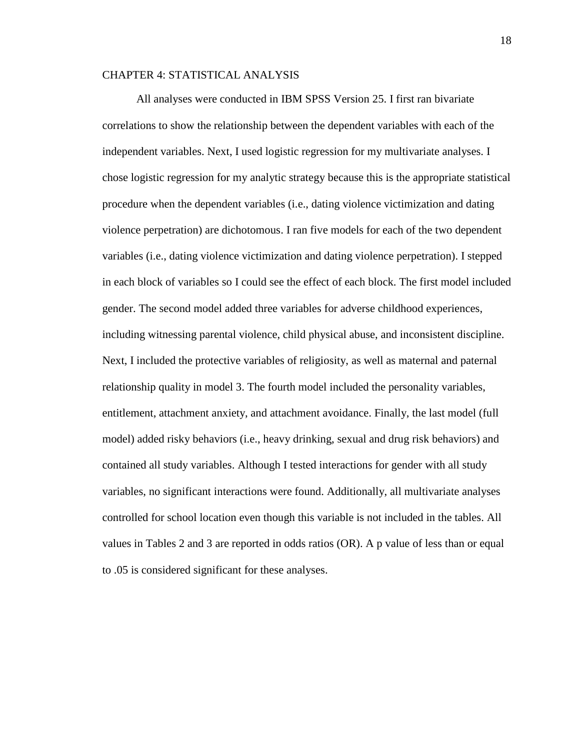#### <span id="page-21-0"></span>CHAPTER 4: STATISTICAL ANALYSIS

All analyses were conducted in IBM SPSS Version 25. I first ran bivariate correlations to show the relationship between the dependent variables with each of the independent variables. Next, I used logistic regression for my multivariate analyses. I chose logistic regression for my analytic strategy because this is the appropriate statistical procedure when the dependent variables (i.e., dating violence victimization and dating violence perpetration) are dichotomous. I ran five models for each of the two dependent variables (i.e., dating violence victimization and dating violence perpetration). I stepped in each block of variables so I could see the effect of each block. The first model included gender. The second model added three variables for adverse childhood experiences, including witnessing parental violence, child physical abuse, and inconsistent discipline. Next, I included the protective variables of religiosity, as well as maternal and paternal relationship quality in model 3. The fourth model included the personality variables, entitlement, attachment anxiety, and attachment avoidance. Finally, the last model (full model) added risky behaviors (i.e., heavy drinking, sexual and drug risk behaviors) and contained all study variables. Although I tested interactions for gender with all study variables, no significant interactions were found. Additionally, all multivariate analyses controlled for school location even though this variable is not included in the tables. All values in Tables 2 and 3 are reported in odds ratios (OR). A p value of less than or equal to .05 is considered significant for these analyses.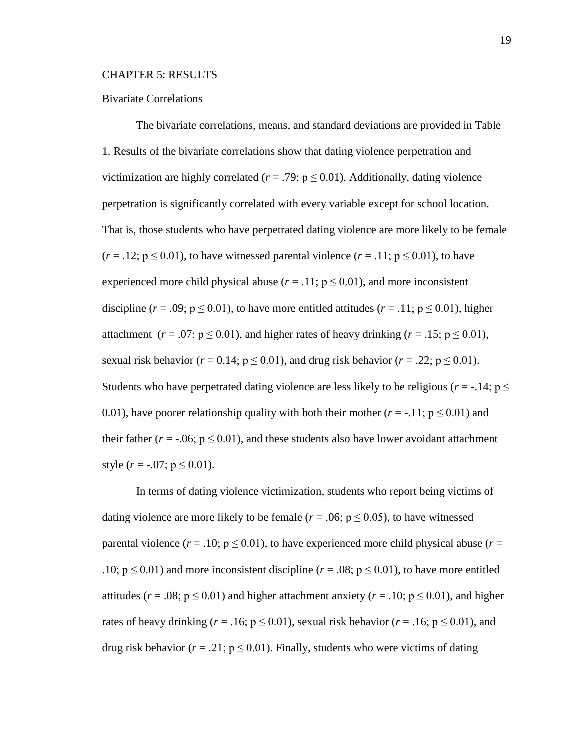#### <span id="page-22-0"></span>CHAPTER 5: RESULTS

#### Bivariate Correlations

The bivariate correlations, means, and standard deviations are provided in Table 1. Results of the bivariate correlations show that dating violence perpetration and victimization are highly correlated ( $r = .79$ ;  $p \le 0.01$ ). Additionally, dating violence perpetration is significantly correlated with every variable except for school location. That is, those students who have perpetrated dating violence are more likely to be female  $(r = .12; p \le 0.01)$ , to have witnessed parental violence  $(r = .11; p \le 0.01)$ , to have experienced more child physical abuse ( $r = .11$ ;  $p \le 0.01$ ), and more inconsistent discipline ( $r = .09$ ;  $p \le 0.01$ ), to have more entitled attitudes ( $r = .11$ ;  $p \le 0.01$ ), higher attachment ( $r = .07$ ;  $p \le 0.01$ ), and higher rates of heavy drinking ( $r = .15$ ;  $p \le 0.01$ ), sexual risk behavior ( $r = 0.14$ ;  $p \le 0.01$ ), and drug risk behavior ( $r = .22$ ;  $p \le 0.01$ ). Students who have perpetrated dating violence are less likely to be religious ( $r = -.14$ ;  $p \leq$ 0.01), have poorer relationship quality with both their mother ( $r = -.11$ ;  $p \le 0.01$ ) and their father ( $r = -0.06$ ;  $p \le 0.01$ ), and these students also have lower avoidant attachment style  $(r = -.07; p \le 0.01)$ .

In terms of dating violence victimization, students who report being victims of dating violence are more likely to be female  $(r = .06; p \le 0.05)$ , to have witnessed parental violence ( $r = .10$ ;  $p \le 0.01$ ), to have experienced more child physical abuse ( $r =$ .10;  $p \le 0.01$ ) and more inconsistent discipline ( $r = .08$ ;  $p \le 0.01$ ), to have more entitled attitudes ( $r = .08$ ;  $p \le 0.01$ ) and higher attachment anxiety ( $r = .10$ ;  $p \le 0.01$ ), and higher rates of heavy drinking ( $r = .16$ ;  $p \le 0.01$ ), sexual risk behavior ( $r = .16$ ;  $p \le 0.01$ ), and drug risk behavior ( $r = .21$ ;  $p \le 0.01$ ). Finally, students who were victims of dating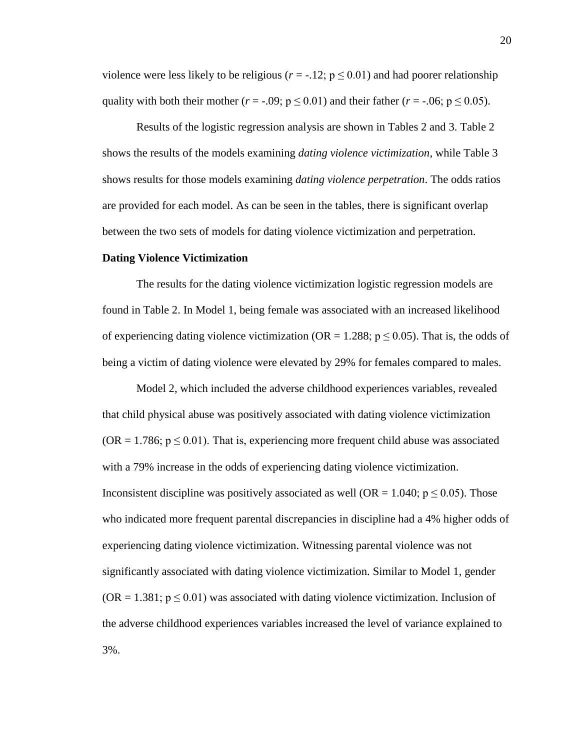violence were less likely to be religious ( $r = -12$ ;  $p \le 0.01$ ) and had poorer relationship quality with both their mother ( $r = -.09$ ;  $p \le 0.01$ ) and their father ( $r = -.06$ ;  $p \le 0.05$ ).

Results of the logistic regression analysis are shown in Tables 2 and 3. Table 2 shows the results of the models examining *dating violence victimization*, while Table 3 shows results for those models examining *dating violence perpetration*. The odds ratios are provided for each model. As can be seen in the tables, there is significant overlap between the two sets of models for dating violence victimization and perpetration.

#### **Dating Violence Victimization**

The results for the dating violence victimization logistic regression models are found in Table 2. In Model 1, being female was associated with an increased likelihood of experiencing dating violence victimization (OR = 1.288;  $p \le 0.05$ ). That is, the odds of being a victim of dating violence were elevated by 29% for females compared to males.

Model 2, which included the adverse childhood experiences variables, revealed that child physical abuse was positively associated with dating violence victimization (OR = 1.786;  $p \le 0.01$ ). That is, experiencing more frequent child abuse was associated with a 79% increase in the odds of experiencing dating violence victimization. Inconsistent discipline was positively associated as well (OR = 1.040;  $p \le 0.05$ ). Those who indicated more frequent parental discrepancies in discipline had a 4% higher odds of experiencing dating violence victimization. Witnessing parental violence was not significantly associated with dating violence victimization. Similar to Model 1, gender (OR = 1.381;  $p \le 0.01$ ) was associated with dating violence victimization. Inclusion of the adverse childhood experiences variables increased the level of variance explained to 3%.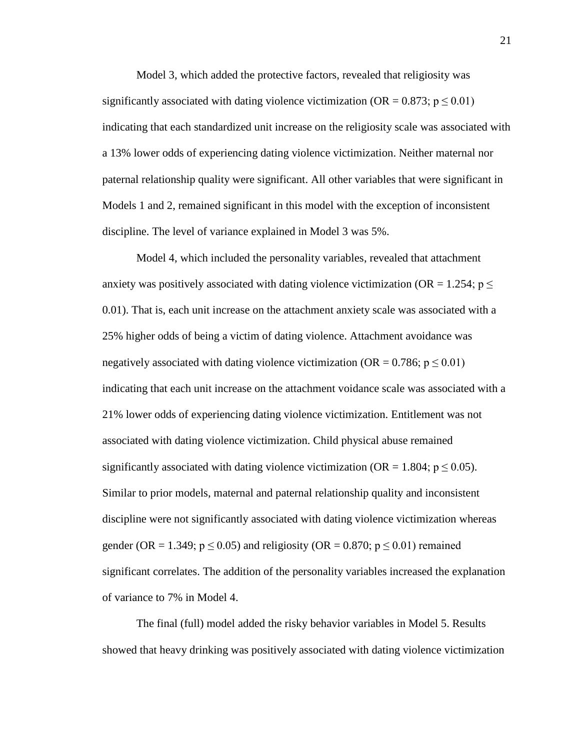Model 3, which added the protective factors, revealed that religiosity was significantly associated with dating violence victimization (OR =  $0.873$ ; p  $\leq 0.01$ ) indicating that each standardized unit increase on the religiosity scale was associated with a 13% lower odds of experiencing dating violence victimization. Neither maternal nor paternal relationship quality were significant. All other variables that were significant in Models 1 and 2, remained significant in this model with the exception of inconsistent discipline. The level of variance explained in Model 3 was 5%.

Model 4, which included the personality variables, revealed that attachment anxiety was positively associated with dating violence victimization (OR = 1.254;  $p \le$ 0.01). That is, each unit increase on the attachment anxiety scale was associated with a 25% higher odds of being a victim of dating violence. Attachment avoidance was negatively associated with dating violence victimization (OR =  $0.786$ ; p  $\leq 0.01$ ) indicating that each unit increase on the attachment voidance scale was associated with a 21% lower odds of experiencing dating violence victimization. Entitlement was not associated with dating violence victimization. Child physical abuse remained significantly associated with dating violence victimization (OR = 1.804;  $p \le 0.05$ ). Similar to prior models, maternal and paternal relationship quality and inconsistent discipline were not significantly associated with dating violence victimization whereas gender (OR = 1.349;  $p \le 0.05$ ) and religiosity (OR = 0.870;  $p \le 0.01$ ) remained significant correlates. The addition of the personality variables increased the explanation of variance to 7% in Model 4.

The final (full) model added the risky behavior variables in Model 5. Results showed that heavy drinking was positively associated with dating violence victimization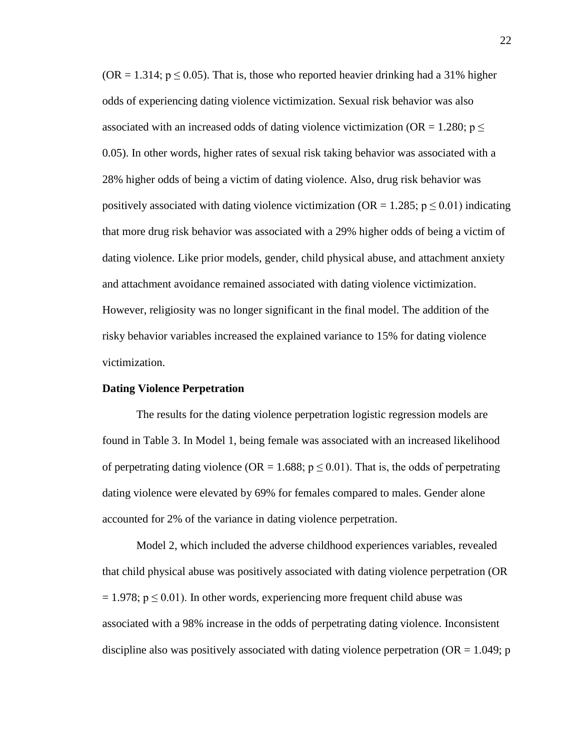(OR = 1.314;  $p \le 0.05$ ). That is, those who reported heavier drinking had a 31% higher odds of experiencing dating violence victimization. Sexual risk behavior was also associated with an increased odds of dating violence victimization (OR = 1.280;  $p \le$ 0.05). In other words, higher rates of sexual risk taking behavior was associated with a 28% higher odds of being a victim of dating violence. Also, drug risk behavior was positively associated with dating violence victimization (OR = 1.285;  $p \le 0.01$ ) indicating that more drug risk behavior was associated with a 29% higher odds of being a victim of dating violence. Like prior models, gender, child physical abuse, and attachment anxiety and attachment avoidance remained associated with dating violence victimization. However, religiosity was no longer significant in the final model. The addition of the risky behavior variables increased the explained variance to 15% for dating violence victimization.

#### **Dating Violence Perpetration**

The results for the dating violence perpetration logistic regression models are found in Table 3. In Model 1, being female was associated with an increased likelihood of perpetrating dating violence (OR = 1.688;  $p \le 0.01$ ). That is, the odds of perpetrating dating violence were elevated by 69% for females compared to males. Gender alone accounted for 2% of the variance in dating violence perpetration.

Model 2, which included the adverse childhood experiences variables, revealed that child physical abuse was positively associated with dating violence perpetration (OR  $= 1.978$ ; p  $\leq 0.01$ ). In other words, experiencing more frequent child abuse was associated with a 98% increase in the odds of perpetrating dating violence. Inconsistent discipline also was positively associated with dating violence perpetration ( $OR = 1.049$ ; p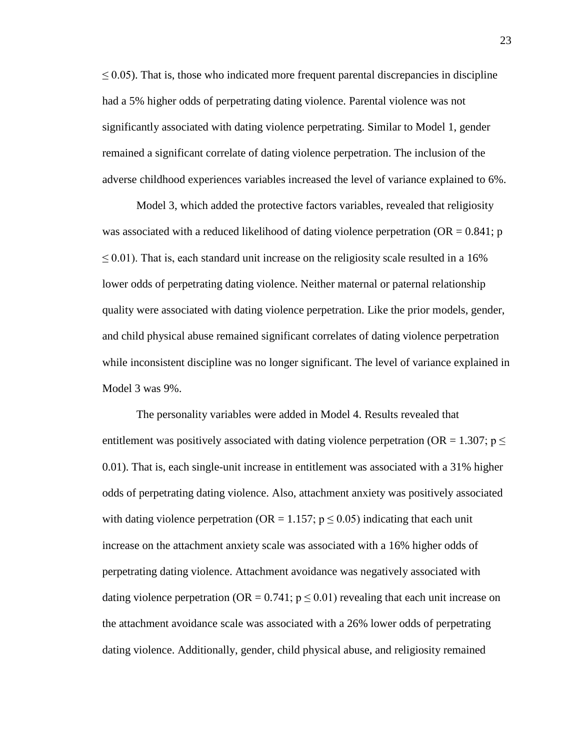$\leq$  0.05). That is, those who indicated more frequent parental discrepancies in discipline had a 5% higher odds of perpetrating dating violence. Parental violence was not significantly associated with dating violence perpetrating. Similar to Model 1, gender remained a significant correlate of dating violence perpetration. The inclusion of the adverse childhood experiences variables increased the level of variance explained to 6%.

Model 3, which added the protective factors variables, revealed that religiosity was associated with a reduced likelihood of dating violence perpetration ( $OR = 0.841$ ; p  $\leq$  0.01). That is, each standard unit increase on the religiosity scale resulted in a 16% lower odds of perpetrating dating violence. Neither maternal or paternal relationship quality were associated with dating violence perpetration. Like the prior models, gender, and child physical abuse remained significant correlates of dating violence perpetration while inconsistent discipline was no longer significant. The level of variance explained in Model 3 was 9%.

The personality variables were added in Model 4. Results revealed that entitlement was positively associated with dating violence perpetration (OR = 1.307;  $p \le$ 0.01). That is, each single-unit increase in entitlement was associated with a 31% higher odds of perpetrating dating violence. Also, attachment anxiety was positively associated with dating violence perpetration (OR = 1.157;  $p \le 0.05$ ) indicating that each unit increase on the attachment anxiety scale was associated with a 16% higher odds of perpetrating dating violence. Attachment avoidance was negatively associated with dating violence perpetration (OR = 0.741;  $p \le 0.01$ ) revealing that each unit increase on the attachment avoidance scale was associated with a 26% lower odds of perpetrating dating violence. Additionally, gender, child physical abuse, and religiosity remained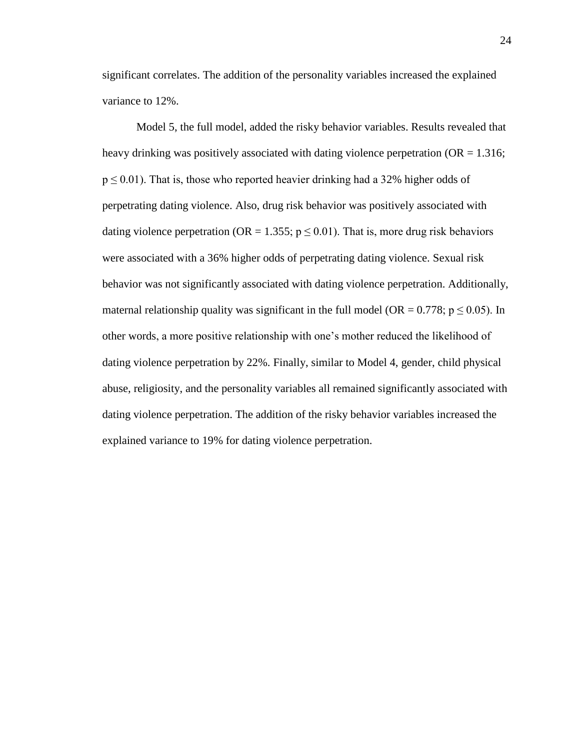significant correlates. The addition of the personality variables increased the explained variance to 12%.

Model 5, the full model, added the risky behavior variables. Results revealed that heavy drinking was positively associated with dating violence perpetration ( $OR = 1.316$ ;  $p \le 0.01$ ). That is, those who reported heavier drinking had a 32% higher odds of perpetrating dating violence. Also, drug risk behavior was positively associated with dating violence perpetration (OR = 1.355;  $p \le 0.01$ ). That is, more drug risk behaviors were associated with a 36% higher odds of perpetrating dating violence. Sexual risk behavior was not significantly associated with dating violence perpetration. Additionally, maternal relationship quality was significant in the full model (OR =  $0.778$ ; p  $\leq 0.05$ ). In other words, a more positive relationship with one's mother reduced the likelihood of dating violence perpetration by 22%. Finally, similar to Model 4, gender, child physical abuse, religiosity, and the personality variables all remained significantly associated with dating violence perpetration. The addition of the risky behavior variables increased the explained variance to 19% for dating violence perpetration.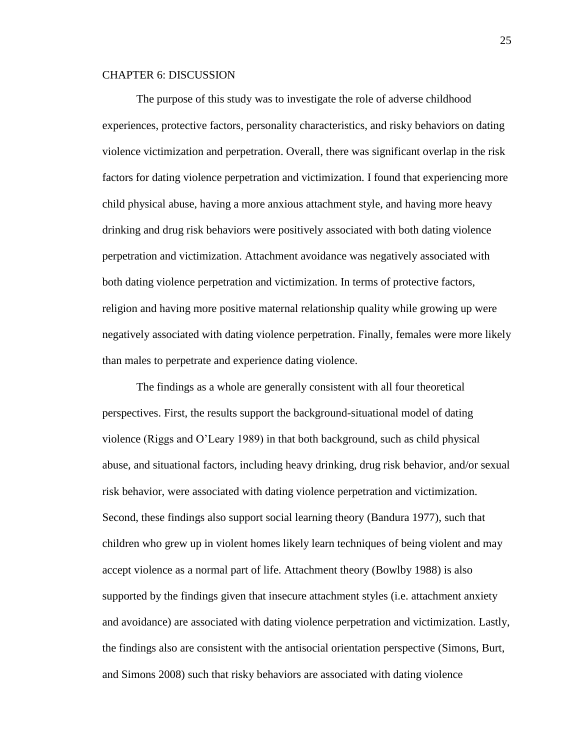#### <span id="page-28-0"></span>CHAPTER 6: DISCUSSION

The purpose of this study was to investigate the role of adverse childhood experiences, protective factors, personality characteristics, and risky behaviors on dating violence victimization and perpetration. Overall, there was significant overlap in the risk factors for dating violence perpetration and victimization. I found that experiencing more child physical abuse, having a more anxious attachment style, and having more heavy drinking and drug risk behaviors were positively associated with both dating violence perpetration and victimization. Attachment avoidance was negatively associated with both dating violence perpetration and victimization. In terms of protective factors, religion and having more positive maternal relationship quality while growing up were negatively associated with dating violence perpetration. Finally, females were more likely than males to perpetrate and experience dating violence.

The findings as a whole are generally consistent with all four theoretical perspectives. First, the results support the background-situational model of dating violence (Riggs and O'Leary 1989) in that both background, such as child physical abuse, and situational factors, including heavy drinking, drug risk behavior, and/or sexual risk behavior, were associated with dating violence perpetration and victimization. Second, these findings also support social learning theory (Bandura 1977), such that children who grew up in violent homes likely learn techniques of being violent and may accept violence as a normal part of life. Attachment theory (Bowlby 1988) is also supported by the findings given that insecure attachment styles (i.e. attachment anxiety and avoidance) are associated with dating violence perpetration and victimization. Lastly, the findings also are consistent with the antisocial orientation perspective (Simons, Burt, and Simons 2008) such that risky behaviors are associated with dating violence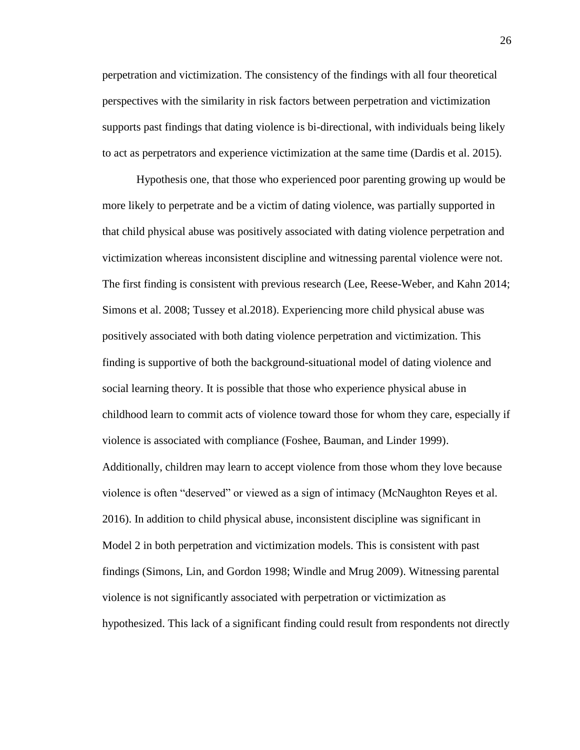perpetration and victimization. The consistency of the findings with all four theoretical perspectives with the similarity in risk factors between perpetration and victimization supports past findings that dating violence is bi-directional, with individuals being likely to act as perpetrators and experience victimization at the same time (Dardis et al. 2015).

Hypothesis one, that those who experienced poor parenting growing up would be more likely to perpetrate and be a victim of dating violence, was partially supported in that child physical abuse was positively associated with dating violence perpetration and victimization whereas inconsistent discipline and witnessing parental violence were not. The first finding is consistent with previous research (Lee, Reese-Weber, and Kahn 2014; Simons et al. 2008; Tussey et al.2018). Experiencing more child physical abuse was positively associated with both dating violence perpetration and victimization. This finding is supportive of both the background-situational model of dating violence and social learning theory. It is possible that those who experience physical abuse in childhood learn to commit acts of violence toward those for whom they care, especially if violence is associated with compliance (Foshee, Bauman, and Linder 1999). Additionally, children may learn to accept violence from those whom they love because violence is often "deserved" or viewed as a sign of intimacy (McNaughton Reyes et al. 2016). In addition to child physical abuse, inconsistent discipline was significant in Model 2 in both perpetration and victimization models. This is consistent with past findings (Simons, Lin, and Gordon 1998; Windle and Mrug 2009). Witnessing parental violence is not significantly associated with perpetration or victimization as hypothesized. This lack of a significant finding could result from respondents not directly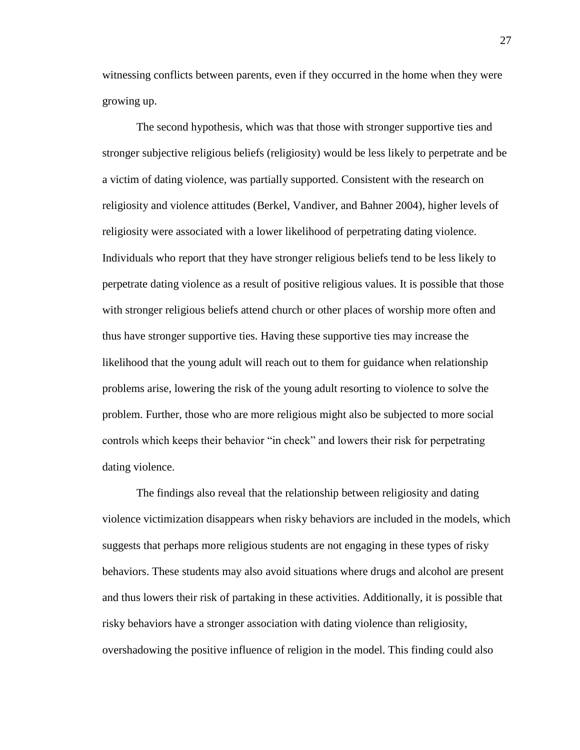witnessing conflicts between parents, even if they occurred in the home when they were growing up.

The second hypothesis, which was that those with stronger supportive ties and stronger subjective religious beliefs (religiosity) would be less likely to perpetrate and be a victim of dating violence, was partially supported. Consistent with the research on religiosity and violence attitudes (Berkel, Vandiver, and Bahner 2004), higher levels of religiosity were associated with a lower likelihood of perpetrating dating violence. Individuals who report that they have stronger religious beliefs tend to be less likely to perpetrate dating violence as a result of positive religious values. It is possible that those with stronger religious beliefs attend church or other places of worship more often and thus have stronger supportive ties. Having these supportive ties may increase the likelihood that the young adult will reach out to them for guidance when relationship problems arise, lowering the risk of the young adult resorting to violence to solve the problem. Further, those who are more religious might also be subjected to more social controls which keeps their behavior "in check" and lowers their risk for perpetrating dating violence.

The findings also reveal that the relationship between religiosity and dating violence victimization disappears when risky behaviors are included in the models, which suggests that perhaps more religious students are not engaging in these types of risky behaviors. These students may also avoid situations where drugs and alcohol are present and thus lowers their risk of partaking in these activities. Additionally, it is possible that risky behaviors have a stronger association with dating violence than religiosity, overshadowing the positive influence of religion in the model. This finding could also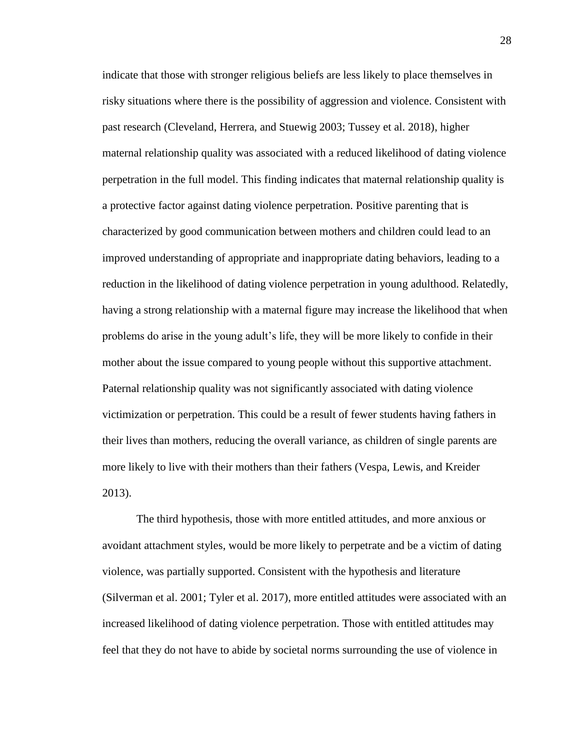indicate that those with stronger religious beliefs are less likely to place themselves in risky situations where there is the possibility of aggression and violence. Consistent with past research (Cleveland, Herrera, and Stuewig 2003; Tussey et al. 2018), higher maternal relationship quality was associated with a reduced likelihood of dating violence perpetration in the full model. This finding indicates that maternal relationship quality is a protective factor against dating violence perpetration. Positive parenting that is characterized by good communication between mothers and children could lead to an improved understanding of appropriate and inappropriate dating behaviors, leading to a reduction in the likelihood of dating violence perpetration in young adulthood. Relatedly, having a strong relationship with a maternal figure may increase the likelihood that when problems do arise in the young adult's life, they will be more likely to confide in their mother about the issue compared to young people without this supportive attachment. Paternal relationship quality was not significantly associated with dating violence victimization or perpetration. This could be a result of fewer students having fathers in their lives than mothers, reducing the overall variance, as children of single parents are more likely to live with their mothers than their fathers (Vespa, Lewis, and Kreider 2013).

The third hypothesis, those with more entitled attitudes, and more anxious or avoidant attachment styles, would be more likely to perpetrate and be a victim of dating violence, was partially supported. Consistent with the hypothesis and literature (Silverman et al. 2001; Tyler et al. 2017), more entitled attitudes were associated with an increased likelihood of dating violence perpetration. Those with entitled attitudes may feel that they do not have to abide by societal norms surrounding the use of violence in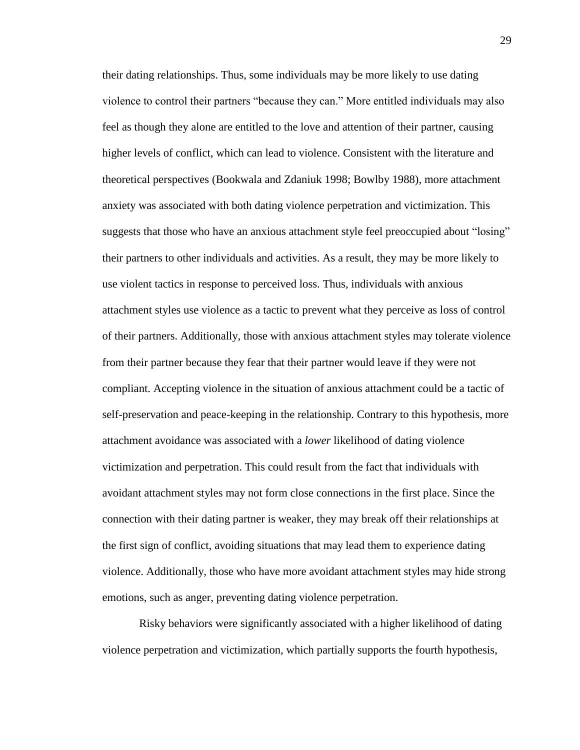their dating relationships. Thus, some individuals may be more likely to use dating violence to control their partners "because they can." More entitled individuals may also feel as though they alone are entitled to the love and attention of their partner, causing higher levels of conflict, which can lead to violence. Consistent with the literature and theoretical perspectives (Bookwala and Zdaniuk 1998; Bowlby 1988), more attachment anxiety was associated with both dating violence perpetration and victimization. This suggests that those who have an anxious attachment style feel preoccupied about "losing" their partners to other individuals and activities. As a result, they may be more likely to use violent tactics in response to perceived loss. Thus, individuals with anxious attachment styles use violence as a tactic to prevent what they perceive as loss of control of their partners. Additionally, those with anxious attachment styles may tolerate violence from their partner because they fear that their partner would leave if they were not compliant. Accepting violence in the situation of anxious attachment could be a tactic of self-preservation and peace-keeping in the relationship. Contrary to this hypothesis, more attachment avoidance was associated with a *lower* likelihood of dating violence victimization and perpetration. This could result from the fact that individuals with avoidant attachment styles may not form close connections in the first place. Since the connection with their dating partner is weaker, they may break off their relationships at the first sign of conflict, avoiding situations that may lead them to experience dating violence. Additionally, those who have more avoidant attachment styles may hide strong emotions, such as anger, preventing dating violence perpetration.

Risky behaviors were significantly associated with a higher likelihood of dating violence perpetration and victimization, which partially supports the fourth hypothesis,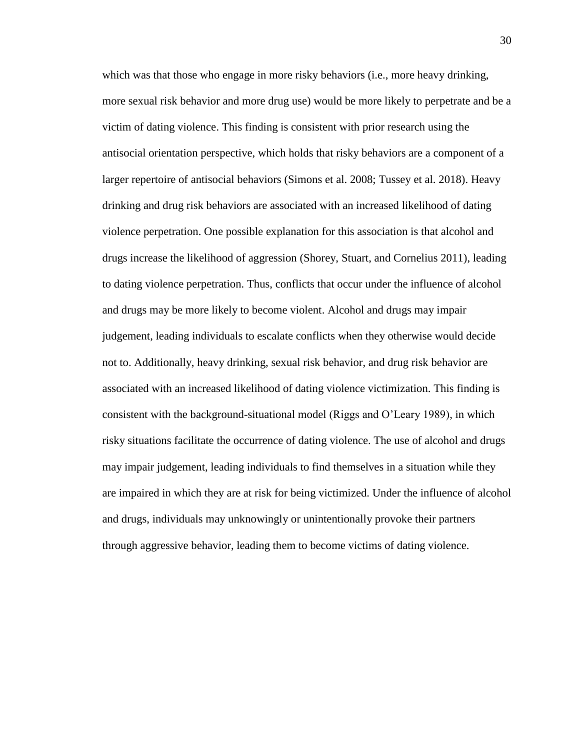which was that those who engage in more risky behaviors (i.e., more heavy drinking, more sexual risk behavior and more drug use) would be more likely to perpetrate and be a victim of dating violence. This finding is consistent with prior research using the antisocial orientation perspective, which holds that risky behaviors are a component of a larger repertoire of antisocial behaviors (Simons et al. 2008; Tussey et al. 2018). Heavy drinking and drug risk behaviors are associated with an increased likelihood of dating violence perpetration. One possible explanation for this association is that alcohol and drugs increase the likelihood of aggression (Shorey, Stuart, and Cornelius 2011), leading to dating violence perpetration. Thus, conflicts that occur under the influence of alcohol and drugs may be more likely to become violent. Alcohol and drugs may impair judgement, leading individuals to escalate conflicts when they otherwise would decide not to. Additionally, heavy drinking, sexual risk behavior, and drug risk behavior are associated with an increased likelihood of dating violence victimization. This finding is consistent with the background-situational model (Riggs and O'Leary 1989), in which risky situations facilitate the occurrence of dating violence. The use of alcohol and drugs may impair judgement, leading individuals to find themselves in a situation while they are impaired in which they are at risk for being victimized. Under the influence of alcohol and drugs, individuals may unknowingly or unintentionally provoke their partners through aggressive behavior, leading them to become victims of dating violence.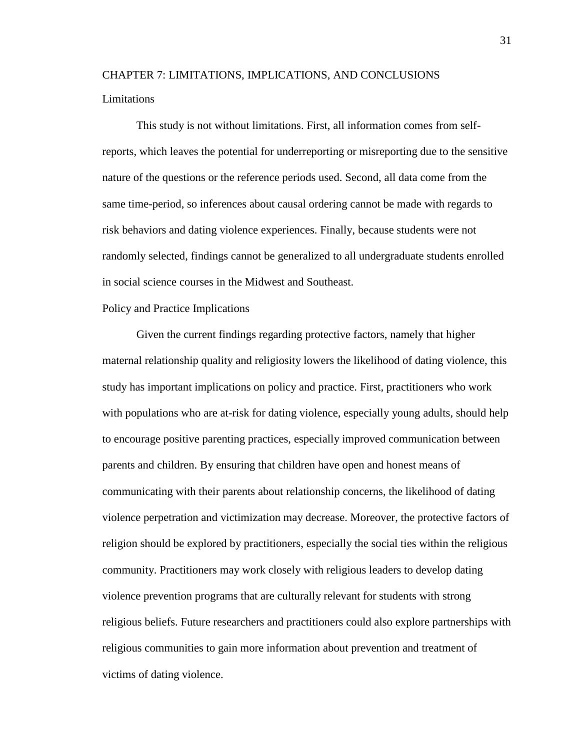## <span id="page-34-0"></span>CHAPTER 7: LIMITATIONS, IMPLICATIONS, AND CONCLUSIONS Limitations

This study is not without limitations. First, all information comes from selfreports, which leaves the potential for underreporting or misreporting due to the sensitive nature of the questions or the reference periods used. Second, all data come from the same time-period, so inferences about causal ordering cannot be made with regards to risk behaviors and dating violence experiences. Finally, because students were not randomly selected, findings cannot be generalized to all undergraduate students enrolled in social science courses in the Midwest and Southeast.

#### Policy and Practice Implications

Given the current findings regarding protective factors, namely that higher maternal relationship quality and religiosity lowers the likelihood of dating violence, this study has important implications on policy and practice. First, practitioners who work with populations who are at-risk for dating violence, especially young adults, should help to encourage positive parenting practices, especially improved communication between parents and children. By ensuring that children have open and honest means of communicating with their parents about relationship concerns, the likelihood of dating violence perpetration and victimization may decrease. Moreover, the protective factors of religion should be explored by practitioners, especially the social ties within the religious community. Practitioners may work closely with religious leaders to develop dating violence prevention programs that are culturally relevant for students with strong religious beliefs. Future researchers and practitioners could also explore partnerships with religious communities to gain more information about prevention and treatment of victims of dating violence.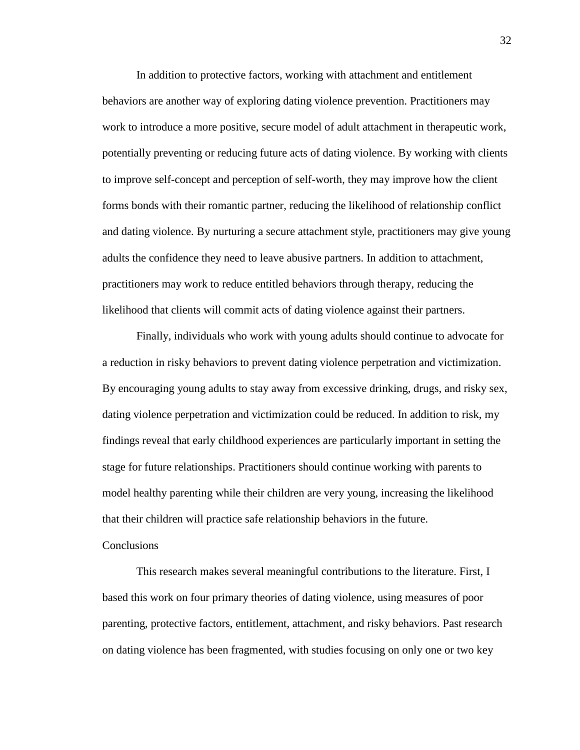In addition to protective factors, working with attachment and entitlement behaviors are another way of exploring dating violence prevention. Practitioners may work to introduce a more positive, secure model of adult attachment in therapeutic work, potentially preventing or reducing future acts of dating violence. By working with clients to improve self-concept and perception of self-worth, they may improve how the client forms bonds with their romantic partner, reducing the likelihood of relationship conflict and dating violence. By nurturing a secure attachment style, practitioners may give young adults the confidence they need to leave abusive partners. In addition to attachment, practitioners may work to reduce entitled behaviors through therapy, reducing the likelihood that clients will commit acts of dating violence against their partners.

Finally, individuals who work with young adults should continue to advocate for a reduction in risky behaviors to prevent dating violence perpetration and victimization. By encouraging young adults to stay away from excessive drinking, drugs, and risky sex, dating violence perpetration and victimization could be reduced. In addition to risk, my findings reveal that early childhood experiences are particularly important in setting the stage for future relationships. Practitioners should continue working with parents to model healthy parenting while their children are very young, increasing the likelihood that their children will practice safe relationship behaviors in the future.

#### **Conclusions**

This research makes several meaningful contributions to the literature. First, I based this work on four primary theories of dating violence, using measures of poor parenting, protective factors, entitlement, attachment, and risky behaviors. Past research on dating violence has been fragmented, with studies focusing on only one or two key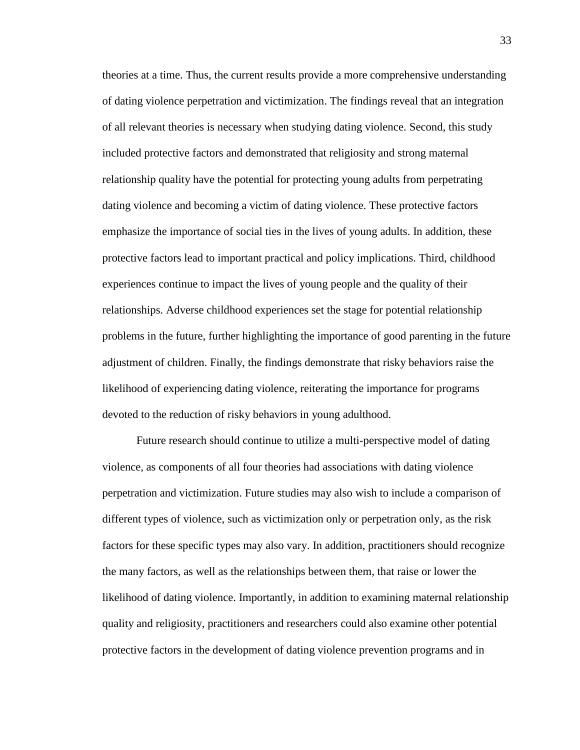theories at a time. Thus, the current results provide a more comprehensive understanding of dating violence perpetration and victimization. The findings reveal that an integration of all relevant theories is necessary when studying dating violence. Second, this study included protective factors and demonstrated that religiosity and strong maternal relationship quality have the potential for protecting young adults from perpetrating dating violence and becoming a victim of dating violence. These protective factors emphasize the importance of social ties in the lives of young adults. In addition, these protective factors lead to important practical and policy implications. Third, childhood experiences continue to impact the lives of young people and the quality of their relationships. Adverse childhood experiences set the stage for potential relationship problems in the future, further highlighting the importance of good parenting in the future adjustment of children. Finally, the findings demonstrate that risky behaviors raise the likelihood of experiencing dating violence, reiterating the importance for programs devoted to the reduction of risky behaviors in young adulthood.

Future research should continue to utilize a multi-perspective model of dating violence, as components of all four theories had associations with dating violence perpetration and victimization. Future studies may also wish to include a comparison of different types of violence, such as victimization only or perpetration only, as the risk factors for these specific types may also vary. In addition, practitioners should recognize the many factors, as well as the relationships between them, that raise or lower the likelihood of dating violence. Importantly, in addition to examining maternal relationship quality and religiosity, practitioners and researchers could also examine other potential protective factors in the development of dating violence prevention programs and in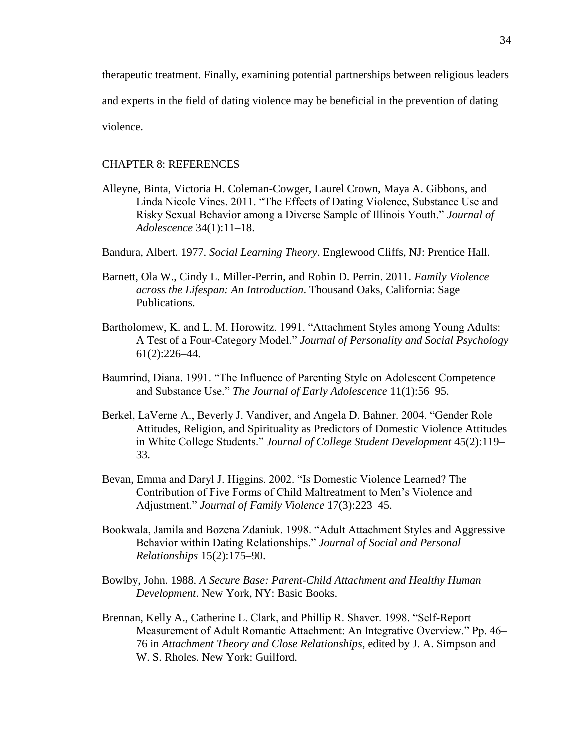therapeutic treatment. Finally, examining potential partnerships between religious leaders

and experts in the field of dating violence may be beneficial in the prevention of dating

violence.

#### <span id="page-37-0"></span>CHAPTER 8: REFERENCES

- Alleyne, Binta, Victoria H. Coleman-Cowger, Laurel Crown, Maya A. Gibbons, and Linda Nicole Vines. 2011. "The Effects of Dating Violence, Substance Use and Risky Sexual Behavior among a Diverse Sample of Illinois Youth." *Journal of Adolescence* 34(1):11–18.
- Bandura, Albert. 1977. *Social Learning Theory*. Englewood Cliffs, NJ: Prentice Hall.
- Barnett, Ola W., Cindy L. Miller-Perrin, and Robin D. Perrin. 2011. *Family Violence across the Lifespan: An Introduction*. Thousand Oaks, California: Sage Publications.
- Bartholomew, K. and L. M. Horowitz. 1991. "Attachment Styles among Young Adults: A Test of a Four-Category Model." *Journal of Personality and Social Psychology* 61(2):226–44.
- Baumrind, Diana. 1991. "The Influence of Parenting Style on Adolescent Competence and Substance Use." *The Journal of Early Adolescence* 11(1):56–95.
- Berkel, LaVerne A., Beverly J. Vandiver, and Angela D. Bahner. 2004. "Gender Role Attitudes, Religion, and Spirituality as Predictors of Domestic Violence Attitudes in White College Students." *Journal of College Student Development* 45(2):119– 33.
- Bevan, Emma and Daryl J. Higgins. 2002. "Is Domestic Violence Learned? The Contribution of Five Forms of Child Maltreatment to Men's Violence and Adjustment." *Journal of Family Violence* 17(3):223–45.
- Bookwala, Jamila and Bozena Zdaniuk. 1998. "Adult Attachment Styles and Aggressive Behavior within Dating Relationships." *Journal of Social and Personal Relationships* 15(2):175–90.
- Bowlby, John. 1988. *A Secure Base: Parent-Child Attachment and Healthy Human Development*. New York, NY: Basic Books.
- Brennan, Kelly A., Catherine L. Clark, and Phillip R. Shaver. 1998. "Self-Report Measurement of Adult Romantic Attachment: An Integrative Overview." Pp. 46– 76 in *Attachment Theory and Close Relationships*, edited by J. A. Simpson and W. S. Rholes. New York: Guilford.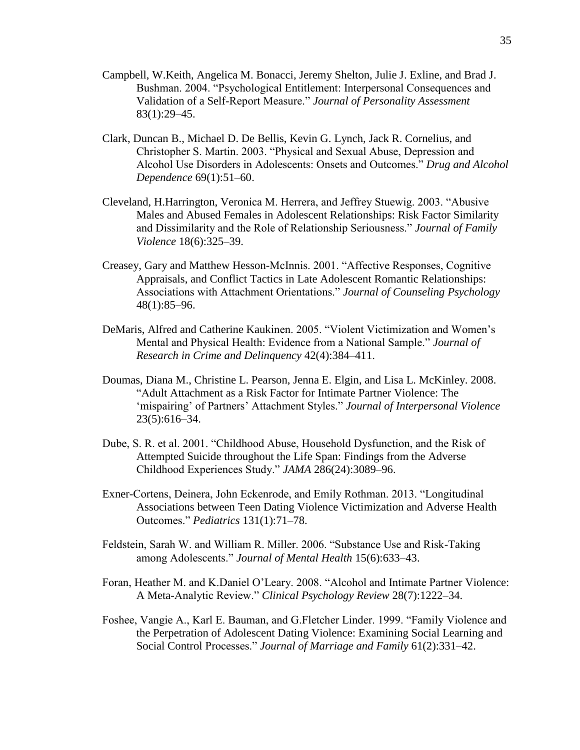- Campbell, W.Keith, Angelica M. Bonacci, Jeremy Shelton, Julie J. Exline, and Brad J. Bushman. 2004. "Psychological Entitlement: Interpersonal Consequences and Validation of a Self-Report Measure." *Journal of Personality Assessment* 83(1):29–45.
- Clark, Duncan B., Michael D. De Bellis, Kevin G. Lynch, Jack R. Cornelius, and Christopher S. Martin. 2003. "Physical and Sexual Abuse, Depression and Alcohol Use Disorders in Adolescents: Onsets and Outcomes." *Drug and Alcohol Dependence* 69(1):51–60.
- Cleveland, H.Harrington, Veronica M. Herrera, and Jeffrey Stuewig. 2003. "Abusive Males and Abused Females in Adolescent Relationships: Risk Factor Similarity and Dissimilarity and the Role of Relationship Seriousness." *Journal of Family Violence* 18(6):325–39.
- Creasey, Gary and Matthew Hesson-McInnis. 2001. "Affective Responses, Cognitive Appraisals, and Conflict Tactics in Late Adolescent Romantic Relationships: Associations with Attachment Orientations." *Journal of Counseling Psychology* 48(1):85–96.
- DeMaris, Alfred and Catherine Kaukinen. 2005. "Violent Victimization and Women's Mental and Physical Health: Evidence from a National Sample." *Journal of Research in Crime and Delinquency* 42(4):384–411.
- Doumas, Diana M., Christine L. Pearson, Jenna E. Elgin, and Lisa L. McKinley. 2008. "Adult Attachment as a Risk Factor for Intimate Partner Violence: The 'mispairing' of Partners' Attachment Styles." *Journal of Interpersonal Violence* 23(5):616–34.
- Dube, S. R. et al. 2001. "Childhood Abuse, Household Dysfunction, and the Risk of Attempted Suicide throughout the Life Span: Findings from the Adverse Childhood Experiences Study." *JAMA* 286(24):3089–96.
- Exner-Cortens, Deinera, John Eckenrode, and Emily Rothman. 2013. "Longitudinal Associations between Teen Dating Violence Victimization and Adverse Health Outcomes." *Pediatrics* 131(1):71–78.
- Feldstein, Sarah W. and William R. Miller. 2006. "Substance Use and Risk-Taking among Adolescents." *Journal of Mental Health* 15(6):633–43.
- Foran, Heather M. and K.Daniel O'Leary. 2008. "Alcohol and Intimate Partner Violence: A Meta-Analytic Review." *Clinical Psychology Review* 28(7):1222–34.
- Foshee, Vangie A., Karl E. Bauman, and G.Fletcher Linder. 1999. "Family Violence and the Perpetration of Adolescent Dating Violence: Examining Social Learning and Social Control Processes." *Journal of Marriage and Family* 61(2):331–42.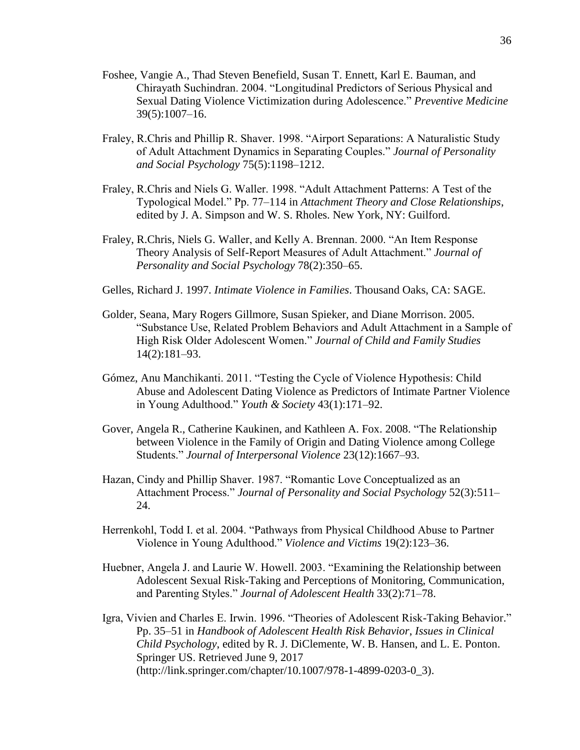- Foshee, Vangie A., Thad Steven Benefield, Susan T. Ennett, Karl E. Bauman, and Chirayath Suchindran. 2004. "Longitudinal Predictors of Serious Physical and Sexual Dating Violence Victimization during Adolescence." *Preventive Medicine* 39(5):1007–16.
- Fraley, R.Chris and Phillip R. Shaver. 1998. "Airport Separations: A Naturalistic Study of Adult Attachment Dynamics in Separating Couples." *Journal of Personality and Social Psychology* 75(5):1198–1212.
- Fraley, R.Chris and Niels G. Waller. 1998. "Adult Attachment Patterns: A Test of the Typological Model." Pp. 77–114 in *Attachment Theory and Close Relationships*, edited by J. A. Simpson and W. S. Rholes. New York, NY: Guilford.
- Fraley, R.Chris, Niels G. Waller, and Kelly A. Brennan. 2000. "An Item Response Theory Analysis of Self-Report Measures of Adult Attachment." *Journal of Personality and Social Psychology* 78(2):350–65.
- Gelles, Richard J. 1997. *Intimate Violence in Families*. Thousand Oaks, CA: SAGE.
- Golder, Seana, Mary Rogers Gillmore, Susan Spieker, and Diane Morrison. 2005. "Substance Use, Related Problem Behaviors and Adult Attachment in a Sample of High Risk Older Adolescent Women." *Journal of Child and Family Studies* 14(2):181–93.
- Gómez, Anu Manchikanti. 2011. "Testing the Cycle of Violence Hypothesis: Child Abuse and Adolescent Dating Violence as Predictors of Intimate Partner Violence in Young Adulthood." *Youth & Society* 43(1):171–92.
- Gover, Angela R., Catherine Kaukinen, and Kathleen A. Fox. 2008. "The Relationship between Violence in the Family of Origin and Dating Violence among College Students." *Journal of Interpersonal Violence* 23(12):1667–93.
- Hazan, Cindy and Phillip Shaver. 1987. "Romantic Love Conceptualized as an Attachment Process." *Journal of Personality and Social Psychology* 52(3):511– 24.
- Herrenkohl, Todd I. et al. 2004. "Pathways from Physical Childhood Abuse to Partner Violence in Young Adulthood." *Violence and Victims* 19(2):123–36.
- Huebner, Angela J. and Laurie W. Howell. 2003. "Examining the Relationship between Adolescent Sexual Risk-Taking and Perceptions of Monitoring, Communication, and Parenting Styles." *Journal of Adolescent Health* 33(2):71–78.
- Igra, Vivien and Charles E. Irwin. 1996. "Theories of Adolescent Risk-Taking Behavior." Pp. 35–51 in *Handbook of Adolescent Health Risk Behavior*, *Issues in Clinical Child Psychology*, edited by R. J. DiClemente, W. B. Hansen, and L. E. Ponton. Springer US. Retrieved June 9, 2017 (http://link.springer.com/chapter/10.1007/978-1-4899-0203-0\_3).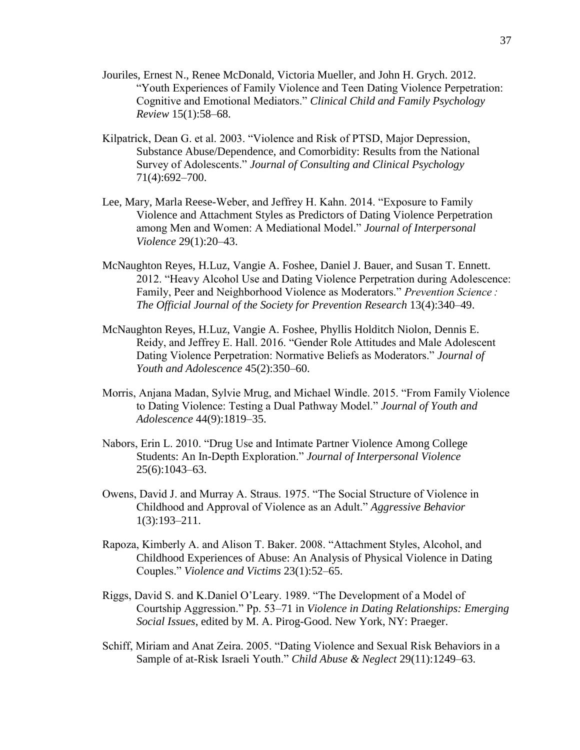- Jouriles, Ernest N., Renee McDonald, Victoria Mueller, and John H. Grych. 2012. "Youth Experiences of Family Violence and Teen Dating Violence Perpetration: Cognitive and Emotional Mediators." *Clinical Child and Family Psychology Review* 15(1):58–68.
- Kilpatrick, Dean G. et al. 2003. "Violence and Risk of PTSD, Major Depression, Substance Abuse/Dependence, and Comorbidity: Results from the National Survey of Adolescents." *Journal of Consulting and Clinical Psychology* 71(4):692–700.
- Lee, Mary, Marla Reese-Weber, and Jeffrey H. Kahn. 2014. "Exposure to Family Violence and Attachment Styles as Predictors of Dating Violence Perpetration among Men and Women: A Mediational Model." *Journal of Interpersonal Violence* 29(1):20–43.
- McNaughton Reyes, H.Luz, Vangie A. Foshee, Daniel J. Bauer, and Susan T. Ennett. 2012. "Heavy Alcohol Use and Dating Violence Perpetration during Adolescence: Family, Peer and Neighborhood Violence as Moderators." *Prevention Science : The Official Journal of the Society for Prevention Research* 13(4):340–49.
- McNaughton Reyes, H.Luz, Vangie A. Foshee, Phyllis Holditch Niolon, Dennis E. Reidy, and Jeffrey E. Hall. 2016. "Gender Role Attitudes and Male Adolescent Dating Violence Perpetration: Normative Beliefs as Moderators." *Journal of Youth and Adolescence* 45(2):350–60.
- Morris, Anjana Madan, Sylvie Mrug, and Michael Windle. 2015. "From Family Violence to Dating Violence: Testing a Dual Pathway Model." *Journal of Youth and Adolescence* 44(9):1819–35.
- Nabors, Erin L. 2010. "Drug Use and Intimate Partner Violence Among College Students: An In-Depth Exploration." *Journal of Interpersonal Violence* 25(6):1043–63.
- Owens, David J. and Murray A. Straus. 1975. "The Social Structure of Violence in Childhood and Approval of Violence as an Adult." *Aggressive Behavior* 1(3):193–211.
- Rapoza, Kimberly A. and Alison T. Baker. 2008. "Attachment Styles, Alcohol, and Childhood Experiences of Abuse: An Analysis of Physical Violence in Dating Couples." *Violence and Victims* 23(1):52–65.
- Riggs, David S. and K.Daniel O'Leary. 1989. "The Development of a Model of Courtship Aggression." Pp. 53–71 in *Violence in Dating Relationships: Emerging Social Issues*, edited by M. A. Pirog-Good. New York, NY: Praeger.
- Schiff, Miriam and Anat Zeira. 2005. "Dating Violence and Sexual Risk Behaviors in a Sample of at-Risk Israeli Youth." *Child Abuse & Neglect* 29(11):1249–63.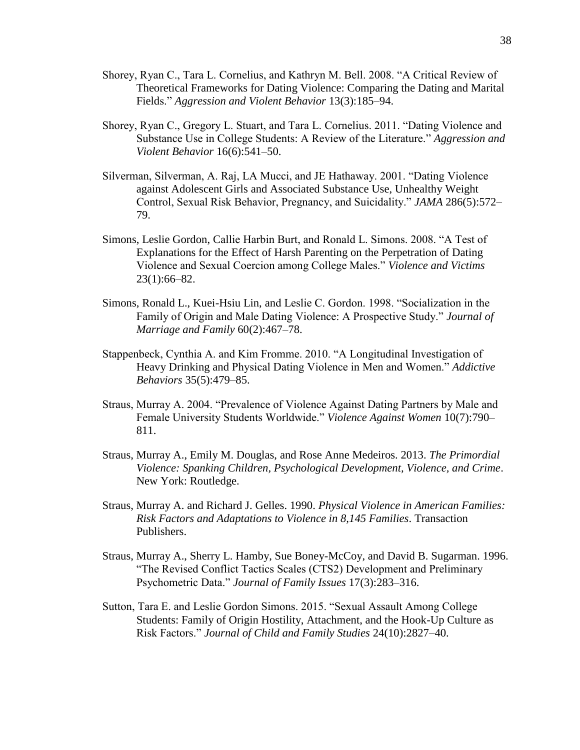- Shorey, Ryan C., Tara L. Cornelius, and Kathryn M. Bell. 2008. "A Critical Review of Theoretical Frameworks for Dating Violence: Comparing the Dating and Marital Fields." *Aggression and Violent Behavior* 13(3):185–94.
- Shorey, Ryan C., Gregory L. Stuart, and Tara L. Cornelius. 2011. "Dating Violence and Substance Use in College Students: A Review of the Literature." *Aggression and Violent Behavior* 16(6):541–50.
- Silverman, Silverman, A. Raj, LA Mucci, and JE Hathaway. 2001. "Dating Violence against Adolescent Girls and Associated Substance Use, Unhealthy Weight Control, Sexual Risk Behavior, Pregnancy, and Suicidality." *JAMA* 286(5):572– 79.
- Simons, Leslie Gordon, Callie Harbin Burt, and Ronald L. Simons. 2008. "A Test of Explanations for the Effect of Harsh Parenting on the Perpetration of Dating Violence and Sexual Coercion among College Males." *Violence and Victims* 23(1):66–82.
- Simons, Ronald L., Kuei-Hsiu Lin, and Leslie C. Gordon. 1998. "Socialization in the Family of Origin and Male Dating Violence: A Prospective Study." *Journal of Marriage and Family* 60(2):467–78.
- Stappenbeck, Cynthia A. and Kim Fromme. 2010. "A Longitudinal Investigation of Heavy Drinking and Physical Dating Violence in Men and Women." *Addictive Behaviors* 35(5):479–85.
- Straus, Murray A. 2004. "Prevalence of Violence Against Dating Partners by Male and Female University Students Worldwide." *Violence Against Women* 10(7):790– 811.
- Straus, Murray A., Emily M. Douglas, and Rose Anne Medeiros. 2013. *The Primordial Violence: Spanking Children, Psychological Development, Violence, and Crime*. New York: Routledge.
- Straus, Murray A. and Richard J. Gelles. 1990. *Physical Violence in American Families: Risk Factors and Adaptations to Violence in 8,145 Families*. Transaction Publishers.
- Straus, Murray A., Sherry L. Hamby, Sue Boney-McCoy, and David B. Sugarman. 1996. "The Revised Conflict Tactics Scales (CTS2) Development and Preliminary Psychometric Data." *Journal of Family Issues* 17(3):283–316.
- Sutton, Tara E. and Leslie Gordon Simons. 2015. "Sexual Assault Among College Students: Family of Origin Hostility, Attachment, and the Hook-Up Culture as Risk Factors." *Journal of Child and Family Studies* 24(10):2827–40.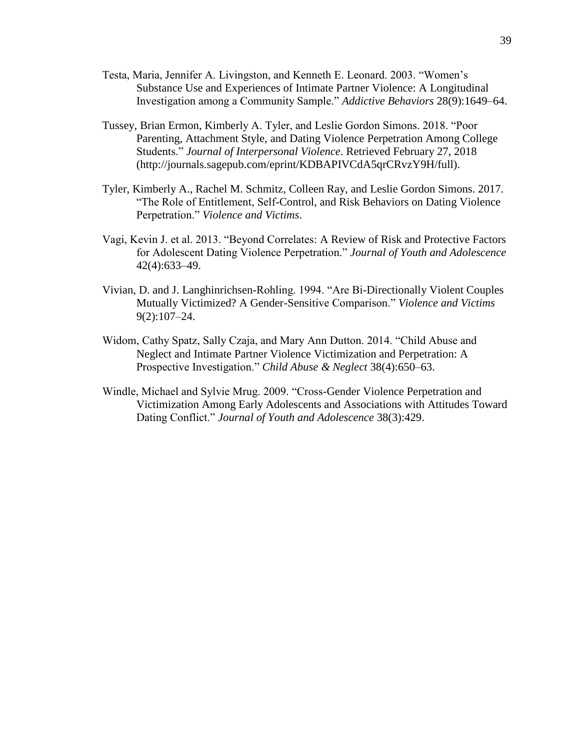- Testa, Maria, Jennifer A. Livingston, and Kenneth E. Leonard. 2003. "Women's Substance Use and Experiences of Intimate Partner Violence: A Longitudinal Investigation among a Community Sample." *Addictive Behaviors* 28(9):1649–64.
- Tussey, Brian Ermon, Kimberly A. Tyler, and Leslie Gordon Simons. 2018. "Poor Parenting, Attachment Style, and Dating Violence Perpetration Among College Students." *Journal of Interpersonal Violence*. Retrieved February 27, 2018 (http://journals.sagepub.com/eprint/KDBAPIVCdA5qrCRvzY9H/full).
- Tyler, Kimberly A., Rachel M. Schmitz, Colleen Ray, and Leslie Gordon Simons. 2017. "The Role of Entitlement, Self-Control, and Risk Behaviors on Dating Violence Perpetration." *Violence and Victims*.
- Vagi, Kevin J. et al. 2013. "Beyond Correlates: A Review of Risk and Protective Factors for Adolescent Dating Violence Perpetration." *Journal of Youth and Adolescence* 42(4):633–49.
- Vivian, D. and J. Langhinrichsen-Rohling. 1994. "Are Bi-Directionally Violent Couples Mutually Victimized? A Gender-Sensitive Comparison." *Violence and Victims* 9(2):107–24.
- Widom, Cathy Spatz, Sally Czaja, and Mary Ann Dutton. 2014. "Child Abuse and Neglect and Intimate Partner Violence Victimization and Perpetration: A Prospective Investigation." *Child Abuse & Neglect* 38(4):650–63.
- Windle, Michael and Sylvie Mrug. 2009. "Cross-Gender Violence Perpetration and Victimization Among Early Adolescents and Associations with Attitudes Toward Dating Conflict." *Journal of Youth and Adolescence* 38(3):429.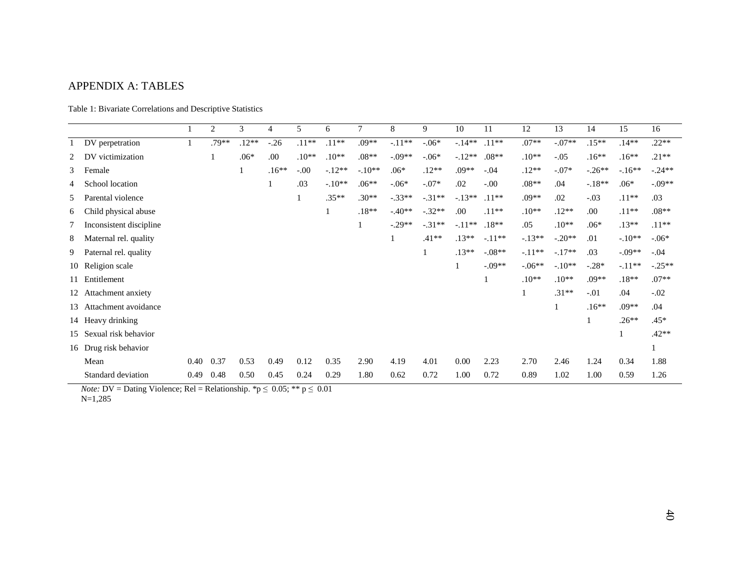### APPENDIX A: TABLES

Table 1: Bivariate Correlations and Descriptive Statistics

<span id="page-43-0"></span>

|    |                         |      | 2     | 3       | 4       | 5       | 6        | 7        | 8        | 9        | 10       | 11       | 12       | 13       | 14       | 15       | 16       |
|----|-------------------------|------|-------|---------|---------|---------|----------|----------|----------|----------|----------|----------|----------|----------|----------|----------|----------|
|    | DV perpetration         |      | .79** | $.12**$ | $-.26$  | $.11**$ | $.11**$  | $.09**$  | $-.11**$ | $-.06*$  | $-14**$  | $.11**$  | $.07**$  | $-.07**$ | $.15**$  | $.14**$  | $.22**$  |
| 2  | DV victimization        |      |       | $.06*$  | .00     | $.10**$ | $.10**$  | $.08**$  | $-.09**$ | $-06*$   | $-12**$  | $.08**$  | $.10**$  | $-.05$   | $.16**$  | $.16**$  | $.21**$  |
| 3  | Female                  |      |       | 1       | $.16**$ | $-.00$  | $-12**$  | $-.10**$ | $.06*$   | $.12**$  | $.09**$  | $-.04$   | $.12**$  | $-.07*$  | $-.26**$ | $-16**$  | $-.24**$ |
| 4  | School location         |      |       |         |         | .03     | $-.10**$ | $.06**$  | $-.06*$  | $-.07*$  | .02      | $-0.00$  | $.08**$  | .04      | $-.18**$ | $.06*$   | $-.09**$ |
| 5  | Parental violence       |      |       |         |         |         | $.35**$  | $.30**$  | $-.33**$ | $-.31**$ | $-13**$  | $.11**$  | $.09**$  | .02      | $-.03$   | $.11**$  | .03      |
| 6  | Child physical abuse    |      |       |         |         |         |          | $.18**$  | $-.40**$ | $-.32**$ | .00      | $.11**$  | $.10**$  | $.12**$  | .00      | $.11**$  | $.08**$  |
| 7  | Inconsistent discipline |      |       |         |         |         |          |          | $-.29**$ | $-.31**$ | $-.11**$ | $.18**$  | .05      | $.10**$  | $.06*$   | $.13**$  | $.11**$  |
| 8  | Maternal rel. quality   |      |       |         |         |         |          |          |          | $.41**$  | $.13**$  | $-.11**$ | $-.13**$ | $-.20**$ | .01      | $-.10**$ | $-06*$   |
| 9  | Paternal rel. quality   |      |       |         |         |         |          |          |          |          | $.13**$  | $-.08**$ | $-.11**$ | $-.17**$ | .03      | $-.09**$ | $-.04$   |
|    | 10 Religion scale       |      |       |         |         |         |          |          |          |          |          | $-.09**$ | $-.06**$ | $-.10**$ | $-.28*$  | $-.11**$ | $-.25**$ |
|    | 11 Entitlement          |      |       |         |         |         |          |          |          |          |          |          | $.10**$  | $.10**$  | $.09**$  | $.18**$  | $.07**$  |
| 12 | Attachment anxiety      |      |       |         |         |         |          |          |          |          |          |          |          | $.31**$  | $-.01$   | .04      | $-.02$   |
| 13 | Attachment avoidance    |      |       |         |         |         |          |          |          |          |          |          |          |          | $.16**$  | $.09**$  | .04      |
|    | 14 Heavy drinking       |      |       |         |         |         |          |          |          |          |          |          |          |          |          | $.26**$  | $.45*$   |
|    | 15 Sexual risk behavior |      |       |         |         |         |          |          |          |          |          |          |          |          |          |          | $.42**$  |
|    | 16 Drug risk behavior   |      |       |         |         |         |          |          |          |          |          |          |          |          |          |          |          |
|    | Mean                    | 0.40 | 0.37  | 0.53    | 0.49    | 0.12    | 0.35     | 2.90     | 4.19     | 4.01     | 0.00     | 2.23     | 2.70     | 2.46     | 1.24     | 0.34     | 1.88     |
|    | Standard deviation      | 0.49 | 0.48  | 0.50    | 0.45    | 0.24    | 0.29     | 1.80     | 0.62     | 0.72     | 1.00     | 0.72     | 0.89     | 1.02     | 1.00     | 0.59     | 1.26     |

*Note:* DV = Dating Violence; Rel = Relationship. \* $p \le 0.05$ ; \*\*  $p \le 0.01$ N=1,285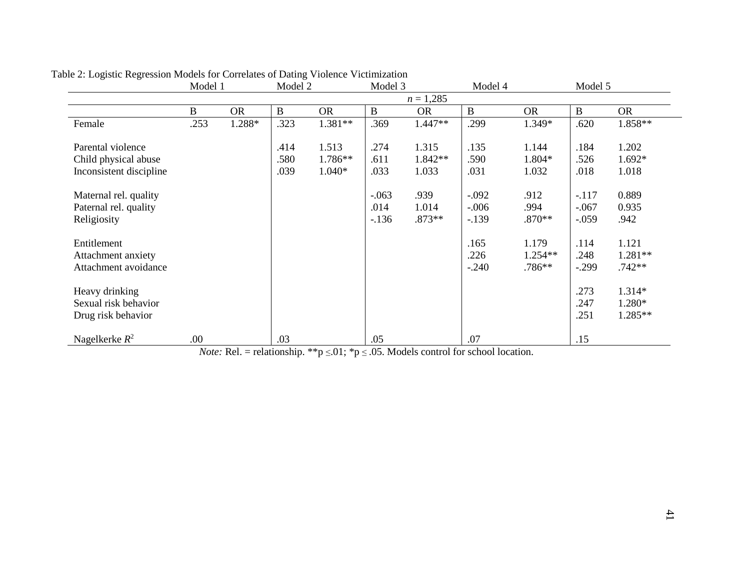|                         | Model 1 |           | Model 2  |           | Model 3  |             | Model 4  |           | Model 5     |           |
|-------------------------|---------|-----------|----------|-----------|----------|-------------|----------|-----------|-------------|-----------|
|                         |         |           |          |           |          | $n = 1,285$ |          |           |             |           |
|                         | B       | <b>OR</b> | $\bf{B}$ | <b>OR</b> | $\bf{B}$ | <b>OR</b>   | $\bf{B}$ | OR.       | $\mathbf B$ | <b>OR</b> |
| Female                  | .253    | 1.288*    | .323     | 1.381**   | .369     | 1.447**     | .299     | 1.349*    | .620        | 1.858**   |
| Parental violence       |         |           | .414     | 1.513     | .274     | 1.315       | .135     | 1.144     | .184        | 1.202     |
| Child physical abuse    |         |           | .580     | $1.786**$ | .611     | $1.842**$   | .590     | 1.804*    | .526        | 1.692*    |
| Inconsistent discipline |         |           | .039     | $1.040*$  | .033     | 1.033       | .031     | 1.032     | .018        | 1.018     |
| Maternal rel. quality   |         |           |          |           | $-.063$  | .939        | $-.092$  | .912      | $-.117$     | 0.889     |
| Paternal rel. quality   |         |           |          |           | .014     | 1.014       | $-0.006$ | .994      | $-.067$     | 0.935     |
| Religiosity             |         |           |          |           | $-136$   | $.873**$    | $-139$   | $.870**$  | $-.059$     | .942      |
| Entitlement             |         |           |          |           |          |             | .165     | 1.179     | .114        | 1.121     |
| Attachment anxiety      |         |           |          |           |          |             | .226     | $1.254**$ | .248        | $1.281**$ |
| Attachment avoidance    |         |           |          |           |          |             | $-.240$  | .786**    | $-.299$     | $.742**$  |
| Heavy drinking          |         |           |          |           |          |             |          |           | .273        | 1.314*    |
| Sexual risk behavior    |         |           |          |           |          |             |          |           | .247        | 1.280*    |
| Drug risk behavior      |         |           |          |           |          |             |          |           | .251        | 1.285**   |
| Nagelkerke $R^2$        | .00     |           | .03      |           | .05      |             | .07      |           | .15         |           |

### Table 2: Logistic Regression Models for Correlates of Dating Violence Victimization

*Note:* Rel. = relationship. \*\*p  $\leq 0.01$ ; \*p  $\leq 0.05$ . Models control for school location.